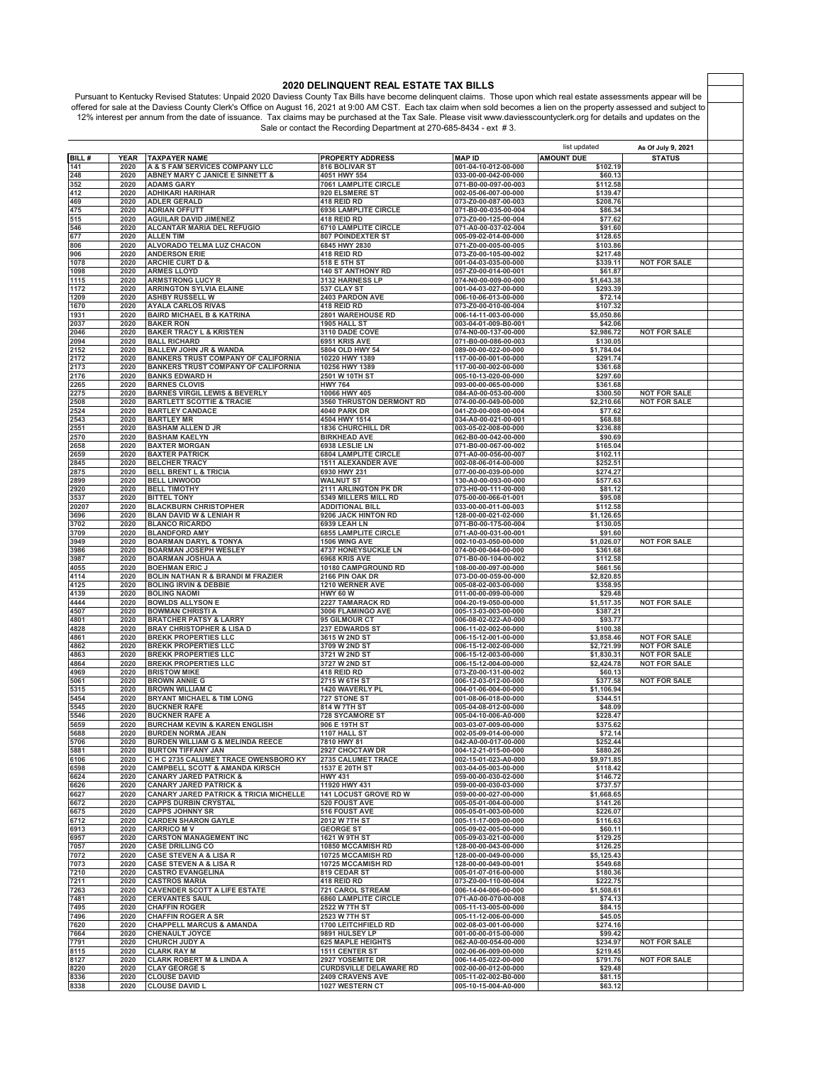2020 DELINQUENT REAL ESTATE TAX BILLS<br>Pursuant to Kentucky Revised Statutes: Unpaid 2020 Daviess County Tax Bills have become delinquent claims. Those upon which real estate assessments appear will be<br>offered for sale at t 12% interest per annum from the date of issuance. Tax claims may be purchased at the Tax Sale. Please visit www.daviesscountyclerk.org for details and updates on the<br>Sale or contact the Recording Department at 270-685-8434

|              |              |                                                                      |                                            |                                              | list updated         | As Of July 9, 2021  |  |
|--------------|--------------|----------------------------------------------------------------------|--------------------------------------------|----------------------------------------------|----------------------|---------------------|--|
| BILL#        | YEAR         | <b>TAXPAYER NAME</b>                                                 | <b>PROPERTY ADDRESS</b>                    | <b>MAP ID</b>                                | <b>AMOUNT DUE</b>    | <b>STATUS</b>       |  |
| 141          | 2020         | A & S FAM SERVICES COMPANY LLC                                       | 816 BOLIVAR ST                             | 001-04-10-012-00-000                         | \$102.19             |                     |  |
| 248          | 2020         | ABNEY MARY C JANICE E SINNETT &                                      | 4051 HWY 554                               | 033-00-00-042-00-000                         | \$60.13              |                     |  |
| 352          | 2020         | <b>ADAMS GARY</b>                                                    | 7061 LAMPLITE CIRCLE                       | 071-B0-00-097-00-003                         | \$112.58             |                     |  |
| 412          | 2020         | <b>ADHIKARI HARIHAR</b>                                              | 920 ELSMERE ST                             | 002-05-06-007-00-000                         | \$139.47             |                     |  |
| 469          | 2020         | <b>ADLER GERALD</b>                                                  | 418 REID RD                                | 073-Z0-00-087-00-003                         | \$208.76             |                     |  |
| 475          | 2020         | <b>ADRIAN OFFUTT</b>                                                 | 6936 LAMPLITE CIRCLE                       | 071-B0-00-035-00-004                         | \$86.34              |                     |  |
| 515          | 2020         | <b>AGUILAR DAVID JIMENEZ</b>                                         | 418 REID RD                                | 073-Z0-00-125-00-004                         | \$77.62              |                     |  |
| 546          | 2020         | ALCANTAR MARIA DEL REFUGIO                                           | <b>6710 LAMPLITE CIRCLE</b>                | 071-A0-00-037-02-004                         | \$91.60              |                     |  |
| 677          | 2020         | <b>ALLEN TIM</b>                                                     | <b>807 POINDEXTER ST</b>                   | 005-09-02-014-00-000                         | \$128.65             |                     |  |
| 806          | 2020         | ALVORADO TELMA LUZ CHACON                                            | 6845 HWY 2830                              | 071-Z0-00-005-00-005                         | \$103.86             |                     |  |
| 906          | 2020         | <b>ANDERSON ERIE</b>                                                 | 418 REID RD                                | 073-Z0-00-105-00-002                         | \$217.48             |                     |  |
| 1078         | 2020         | <b>ARCHIE CURT D &amp;</b>                                           | 518 E 5TH ST                               | 001-04-03-035-00-000                         | \$339.11             | <b>NOT FOR SALE</b> |  |
| 1098         | 2020         | <b>ARMES LLOYD</b>                                                   | <b>140 ST ANTHONY RD</b>                   | 057-Z0-00-014-00-001<br>074-N0-00-009-00-000 | \$61.87              |                     |  |
| 1115<br>1172 | 2020<br>2020 | <b>ARMSTRONG LUCY R</b>                                              | 3132 HARNESS LP<br>537 CLAY ST             |                                              | \$1,643.38           |                     |  |
| 1209         | 2020         | <b>ARRINGTON SYLVIA ELAINE</b><br><b>ASHBY RUSSELL W</b>             | 2403 PARDON AVE                            | 001-04-03-027-00-000<br>006-10-06-013-00-000 | \$293.39<br>\$72.14  |                     |  |
| 1670         | 2020         | <b>AYALA CARLOS RIVAS</b>                                            | 418 REID RD                                | 073-Z0-00-010-00-004                         | \$107.32             |                     |  |
| 1931         | 2020         | <b>BAIRD MICHAEL B &amp; KATRINA</b>                                 | <b>2801 WAREHOUSE RD</b>                   | 006-14-11-003-00-000                         | \$5,050.86           |                     |  |
| 2037         | 2020         | <b>BAKER RON</b>                                                     | 1905 HALL ST                               | 003-04-01-009-B0-001                         | \$42.06              |                     |  |
| 2046         | 2020         | <b>BAKER TRACY L &amp; KRISTEN</b>                                   | 3110 DADE COVE                             | 074-N0-00-137-00-000                         | \$2,986.72           | <b>NOT FOR SALE</b> |  |
| 2094         | 2020         | <b>BALL RICHARD</b>                                                  | 6951 KRIS AVE                              | 071-B0-00-086-00-003                         | \$130.05             |                     |  |
| 2152         | 2020         | <b>BALLEW JOHN JR &amp; WANDA</b>                                    | 5804 OLD HWY 54                            | 089-00-00-022-00-000                         | \$1,784.04           |                     |  |
| 2172         | 2020         | <b>BANKERS TRUST COMPANY OF CALIFORNIA</b>                           | 10220 HWY 1389                             | 117-00-00-001-00-000                         | \$291.74             |                     |  |
| 2173         | 2020         | <b>BANKERS TRUST COMPANY OF CALIFORNIA</b>                           | 10256 HWY 1389                             | 117-00-00-002-00-000                         | \$361.68             |                     |  |
| 2176         | 2020         | <b>BANKS EDWARD H</b>                                                | 2501 W 10TH ST                             | 005-10-13-020-00-000                         | \$297.60             |                     |  |
| 2265         | 2020         | <b>BARNES CLOVIS</b>                                                 | <b>HWY 764</b>                             | 093-00-00-065-00-000                         | \$361.68             |                     |  |
| 2275         | 2020         | <b>BARNES VIRGIL LEWIS &amp; BEVERLY</b>                             | 10066 HWY 405                              | 084-A0-00-053-00-000                         | \$300.50             | <b>NOT FOR SALE</b> |  |
| 2508         | 2020         | <b>BARTLETT SCOTTIE &amp; TRACIE</b>                                 | 3560 THRUSTON DERMONT RD                   | 074-00-00-049-00-000                         | \$2,210.66           | <b>NOT FOR SALE</b> |  |
| 2524         | 2020         | <b>BARTLEY CANDACE</b>                                               | <b>4040 PARK DR</b>                        | 041-Z0-00-008-00-004                         | \$77.62              |                     |  |
| 2543         | 2020         | <b>BARTLEY MR</b>                                                    | 4504 HWY 1514                              | 034-A0-00-021-00-001                         | \$68.88              |                     |  |
| 2551         | 2020         | <b>BASHAM ALLEN D JR</b>                                             | <b>1836 CHURCHILL DR</b>                   | 003-05-02-008-00-000                         | \$236.88             |                     |  |
| 2570         | 2020         | <b>BASHAM KAELYN</b>                                                 | <b>BIRKHEAD AVE</b>                        | 062-B0-00-042-00-000                         | \$90.69              |                     |  |
| 2658         | 2020         | <b>BAXTER MORGAN</b>                                                 | 6938 LESLIE LN                             | 071-B0-00-067-00-002                         | \$165.04             |                     |  |
| 2659         | 2020         | <b>BAXTER PATRICK</b>                                                | <b>6804 LAMPLITE CIRCLE</b>                | 071-A0-00-056-00-007                         | \$102.11             |                     |  |
| 2845         | 2020<br>2020 | <b>BELCHER TRACY</b>                                                 | <b>1511 ALEXANDER AVE</b><br>6930 HWY 231  | 002-08-06-014-00-000                         | \$252.51<br>\$274.27 |                     |  |
| 2875<br>2899 | 2020         | <b>BELL BRENT L &amp; TRICIA</b><br><b>BELL LINWOOD</b>              | <b>WALNUT ST</b>                           | 077-00-00-039-00-000<br>130-A0-00-093-00-000 | \$577.63             |                     |  |
| 2920         | 2020         | <b>BELL TIMOTHY</b>                                                  | 2111 ARLINGTON PK DR                       | 073-H0-00-111-00-000                         | \$81.12              |                     |  |
| 3537         | 2020         | <b>BITTEL TONY</b>                                                   | <b>5349 MILLERS MILL RD</b>                | 075-00-00-066-01-001                         | \$95.08              |                     |  |
| 20207        | 2020         | <b>BLACKBURN CHRISTOPHER</b>                                         | <b>ADDITIONAL BILL</b>                     | 033-00-00-011-00-003                         | \$112.58             |                     |  |
| 3696         | 2020         | <b>BLAN DAVID W &amp; LENIAH R</b>                                   | 9206 JACK HINTON RD                        | 128-00-00-021-02-000                         | \$1,126.65           |                     |  |
| 3702         | 2020         | <b>BLANCO RICARDO</b>                                                | <b>6939 LEAH LN</b>                        | 071-B0-00-175-00-004                         | \$130.05             |                     |  |
| 3709         | 2020         | <b>BLANDFORD AMY</b>                                                 | 6855 LAMPLITE CIRCLE                       | 071-A0-00-031-00-001                         | \$91.60              |                     |  |
| 3949         | 2020         | <b>BOARMAN DARYL &amp; TONYA</b>                                     | 1506 WING AVE                              | 002-10-03-050-00-000                         | \$1,026.07           | <b>NOT FOR SALE</b> |  |
| 3986         | 2020         | <b>BOARMAN JOSEPH WESLEY</b>                                         | 4737 HONEYSUCKLE LN                        | 074-00-00-044-00-000                         | \$361.68             |                     |  |
| 3987         | 2020         | <b>BOARMAN JOSHUA A</b>                                              | 6968 KRIS AVE                              | 071-B0-00-104-00-002                         | \$112.58             |                     |  |
| 4055         | 2020         | <b>BOEHMAN ERIC J</b>                                                | 10180 CAMPGROUND RD                        | 108-00-00-097-00-000                         | \$661.56             |                     |  |
| 4114         | 2020         | <b>BOLIN NATHAN R &amp; BRANDI M FRAZIER</b>                         | 2166 PIN OAK DR                            | 073-D0-00-059-00-000                         | \$2,820.85           |                     |  |
| 4125<br>4139 | 2020<br>2020 | <b>BOLING IRVIN &amp; DEBBIE</b><br><b>BOLING NAOMI</b>              | 1210 WERNER AVE                            | 005-08-02-003-00-000                         | \$358.95<br>\$29.48  |                     |  |
| 4444         | 2020         | <b>BOWLDS ALLYSON E</b>                                              | <b>HWY 60 W</b><br>2227 TAMARACK RD        | 011-00-00-099-00-000<br>004-20-19-050-00-000 | \$1,517.35           | <b>NOT FOR SALE</b> |  |
| 4507         | 2020         | <b>BOWMAN CHRISTI A</b>                                              | <b>3006 FLAMINGO AVE</b>                   | 005-13-03-003-00-000                         | \$387.21             |                     |  |
| 4801         | 2020         | <b>BRATCHER PATSY &amp; LARRY</b>                                    | 95 GILMOUR CT                              | 006-08-02-022-A0-000                         | \$93.77              |                     |  |
| 4828         | 2020         | <b>BRAY CHRISTOPHER &amp; LISA D</b>                                 | 237 EDWARDS ST                             | 006-11-02-002-00-000                         | \$100.38             |                     |  |
| 4861         | 2020         | <b>BREKK PROPERTIES LLC</b>                                          | 3615 W 2ND ST                              | 006-15-12-001-00-000                         | \$3,858.46           | <b>NOT FOR SALE</b> |  |
| 4862         | 2020         | <b>BREKK PROPERTIES LLC</b>                                          | 3709 W 2ND ST                              | 006-15-12-002-00-000                         | \$2,721.99           | <b>NOT FOR SALE</b> |  |
| 4863         | 2020         | <b>BREKK PROPERTIES LLC</b>                                          | 3721 W 2ND ST                              | 006-15-12-003-00-000                         | \$1,830.31           | <b>NOT FOR SALE</b> |  |
| 4864         | 2020         | <b>BREKK PROPERTIES LLC</b>                                          | 3727 W 2ND ST                              | 006-15-12-004-00-000                         | \$2,424.78           | <b>NOT FOR SALE</b> |  |
| 4969         | 2020         | <b>BRISTOW MIKE</b>                                                  | 418 REID RD                                | 073-Z0-00-131-00-002                         | \$60.13              |                     |  |
| 5061         | 2020         | <b>BROWN ANNIE G</b>                                                 | 2715 W 6TH ST                              | 006-12-03-012-00-000                         | \$377.58             | <b>NOT FOR SALE</b> |  |
| 5315         | 2020         | <b>BROWN WILLIAM C</b>                                               | 1420 WAVERLY PL                            | 004-01-06-004-00-000                         | \$1.106.94           |                     |  |
| 5454         | 2020         | <b>BRYANT MICHAEL &amp; TIM LONG</b>                                 | 727 STONE ST                               | 001-08-06-018-00-000                         | \$344.51             |                     |  |
| 5545         | 2020         | <b>BUCKNER RAFE</b>                                                  | 814 W 7TH ST                               | 005-04-08-012-00-000                         | \$48.09              |                     |  |
| 5546         | 2020         | <b>BUCKNER RAFE A</b>                                                | <b>728 SYCAMORE ST</b>                     | 005-04-10-006-A0-000                         | \$228.47             |                     |  |
| 5659<br>5688 | 2020<br>2020 | <b>BURCHAM KEVIN &amp; KAREN ENGLISH</b><br><b>BURDEN NORMA JEAN</b> | 906 E 19TH ST<br>1107 HALL ST              | 003-03-07-009-00-000<br>002-05-09-014-00-000 | \$375.62<br>\$72.14  |                     |  |
| 5706         | 2020         | BURDEN WILLIAM G & MELINDA REECE                                     | 7810 HWY 81                                | 042-A0-00-017-00-000                         | \$252.44             |                     |  |
| 5881         | 2020         | <b>BURTON TIFFANY JAN</b>                                            | 2927 CHOCTAW DR                            | 004-12-21-015-00-000                         | \$880.26             |                     |  |
| 6106         | 2020         | C H C 2735 CALUMET TRACE OWENSBORO KY                                | 2735 CALUMET TRACE                         | 002-15-01-023-A0-000                         | \$9,971.85           |                     |  |
| 6598         | 2020         | <b>CAMPBELL SCOTT &amp; AMANDA KIRSCH</b>                            | 1537 E 20TH ST                             | 003-04-05-003-00-000                         | \$118.42             |                     |  |
| 6624         | 2020         | <b>CANARY JARED PATRICK &amp;</b>                                    | <b>HWY 431</b>                             | 059-00-00-030-02-000                         | \$146.72             |                     |  |
| 6626         | 2020         | <b>CANARY JARED PATRICK &amp;</b>                                    | 11920 HWY 431                              | 059-00-00-030-03-000                         | \$737.57             |                     |  |
| 6627         | 2020         | <b>CANARY JARED PATRICK &amp; TRICIA MICHELLE</b>                    | <b>141 LOCUST GROVE RD W</b>               | 059-00-00-027-00-000                         | \$1,668.65           |                     |  |
| 6672         | 2020         | <b>CAPPS DURBIN CRYSTAL</b>                                          | 520 FOUST AVE                              | 005-05-01-004-00-000                         | \$141.26             |                     |  |
| 6675         | 2020         | <b>CAPPS JOHNNY SR</b>                                               | <b>516 FOUST AVE</b>                       | 005-05-01-003-00-000                         | \$226.07             |                     |  |
| 6712         | 2020         | <b>CARDEN SHARON GAYLE</b>                                           | 2012 W 7TH ST                              | 005-11-17-009-00-000                         | \$116.63             |                     |  |
| 6913<br>6957 | 2020<br>2020 | <b>CARRICO M V</b><br><b>CARSTON MANAGEMENT INC</b>                  | <b>GEORGE ST</b><br>1621 W 9TH ST          | 005-09-02-005-00-000<br>005-09-03-021-00-000 | \$60.11<br>\$129.25  |                     |  |
| 7057         | 2020         | <b>CASE DRILLING CO</b>                                              | 10850 MCCAMISH RD                          | 128-00-00-043-00-000                         | \$126.25             |                     |  |
| 7072         | 2020         | <b>CASE STEVEN A &amp; LISA R</b>                                    | 10725 MCCAMISH RD                          | 128-00-00-049-00-000                         | \$5,125.43           |                     |  |
| 7073         | 2020         | <b>CASE STEVEN A &amp; LISA R</b>                                    | 10725 MCCAMISH RD                          | 128-00-00-049-00-001                         | \$549.68             |                     |  |
| 7210         | 2020         | <b>CASTRO EVANGELINA</b>                                             | 819 CEDAR ST                               | 005-01-07-016-00-000                         | \$180.36             |                     |  |
| 7211         | 2020         | <b>CASTROS MARIA</b>                                                 | 418 REID RD                                | 073-Z0-00-110-00-004                         | \$222.75             |                     |  |
| 7263         | 2020         | <b>CAVENDER SCOTT A LIFE ESTATE</b>                                  | <b>721 CAROL STREAM</b>                    | 006-14-04-006-00-000                         | \$1,508.61           |                     |  |
| 7481         | 2020         | <b>CERVANTES SAUL</b>                                                | 6860 LAMPLITE CIRCLE                       | 071-A0-00-070-00-008                         | \$74.13              |                     |  |
| 7495         | 2020         | <b>CHAFFIN ROGER</b>                                                 | 2522 W 7TH ST                              | 005-11-13-005-00-000                         | \$84.15              |                     |  |
| 7496         | 2020         | <b>CHAFFIN ROGER A SR</b>                                            | 2523 W 7TH ST                              | 005-11-12-006-00-000                         | \$45.05              |                     |  |
| 7620         | 2020         | <b>CHAPPELL MARCUS &amp; AMANDA</b>                                  | 1700 LEITCHFIELD RD                        | 002-08-03-001-00-000                         | \$274.16             |                     |  |
| 7664<br>7791 | 2020<br>2020 | <b>CHENAULT JOYCE</b><br><b>CHURCH JUDY A</b>                        | 9891 HULSEY LP<br><b>625 MAPLE HEIGHTS</b> | 001-00-00-015-00-000<br>062-A0-00-054-00-000 | \$99.42<br>\$234.97  | <b>NOT FOR SALE</b> |  |
| 8115         | 2020         | <b>CLARK RAY M</b>                                                   | <b>1511 CENTER ST</b>                      | 002-06-06-009-00-000                         | \$219.45             |                     |  |
| 8127         | 2020         | <b>CLARK ROBERT M &amp; LINDA A</b>                                  | 2927 YOSEMITE DR                           | 006-14-05-022-00-000                         | \$791.76             | <b>NOT FOR SALE</b> |  |
| 8220         | 2020         | <b>CLAY GEORGE S</b>                                                 | <b>CURDSVILLE DELAWARE RD</b>              | 002-00-00-012-00-000                         | \$29.48              |                     |  |
| 8336         | 2020         | <b>CLOUSE DAVID</b>                                                  | 2409 CRAVENS AVE                           | 005-11-02-002-B0-000                         | \$81.15              |                     |  |
| 8338         | 2020         | <b>CLOUSE DAVID L</b>                                                | 1027 WESTERN CT                            | 005-10-15-004-A0-000                         | \$63.12              |                     |  |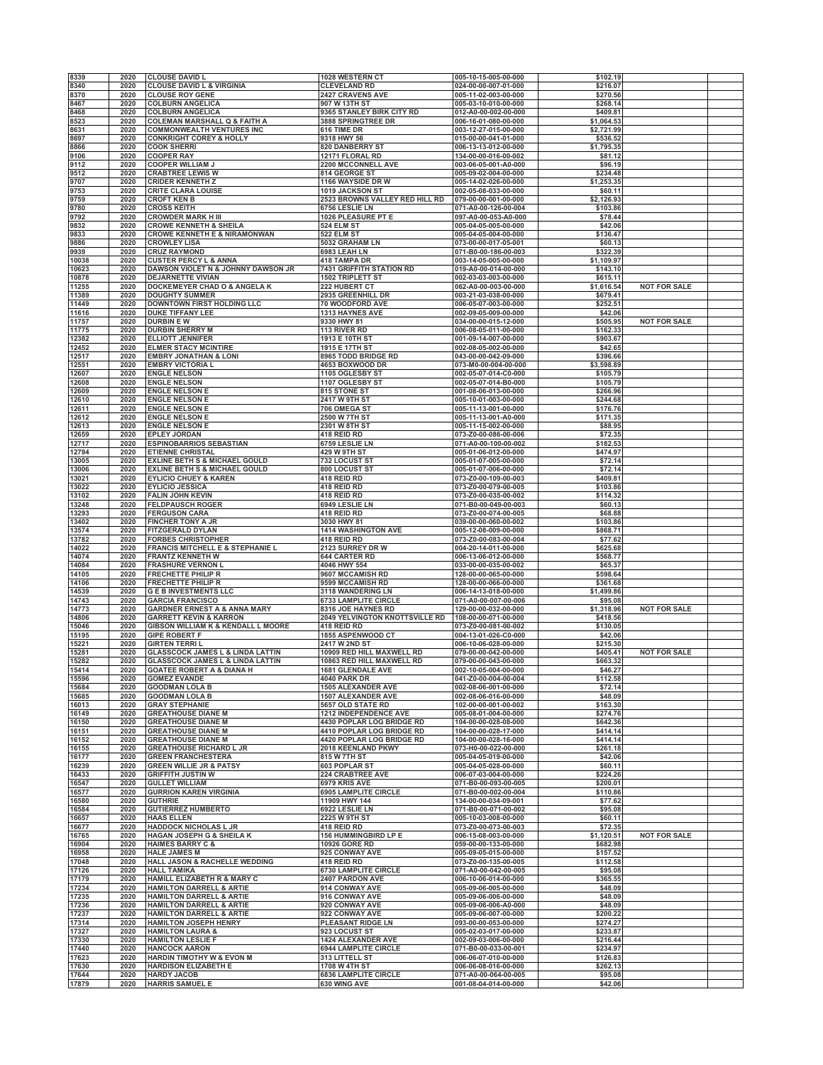| 8339  | 2020 | <b>CLOUSE DAVID L</b>                       | 1028 WESTERN CT                       | 005-10-15-005-00-000 | \$102.19   |                     |  |
|-------|------|---------------------------------------------|---------------------------------------|----------------------|------------|---------------------|--|
| 8340  | 2020 | <b>CLOUSE DAVID L &amp; VIRGINIA</b>        | <b>CLEVELAND RD</b>                   | 024-00-00-007-01-000 | \$216.07   |                     |  |
| 8370  | 2020 | <b>CLOUSE ROY GENE</b>                      | <b>2427 CRAVENS AVE</b>               | 005-11-02-003-00-000 | \$270.56   |                     |  |
|       |      |                                             |                                       |                      |            |                     |  |
| 8467  | 2020 | <b>COLBURN ANGELICA</b>                     | 907 W 13TH ST                         | 005-03-10-010-00-000 | \$268.14   |                     |  |
| 8468  | 2020 | <b>COLBURN ANGELICA</b>                     | <b>9365 STANLEY BIRK CITY RD</b>      | 012-A0-00-002-00-000 | \$409.81   |                     |  |
| 8523  | 2020 | <b>COLEMAN MARSHALL Q &amp; FAITH A</b>     | 3888 SPRINGTREE DR                    | 006-16-01-080-00-000 | \$1,064.53 |                     |  |
| 8631  | 2020 | <b>COMMONWEALTH VENTURES INC</b>            | <b>616 TIME DR</b>                    | 003-12-27-015-00-000 | \$2,721.99 |                     |  |
| 8697  | 2020 | <b>CONKRIGHT COREY &amp; HOLLY</b>          | 9318 HWY 56                           | 015-00-00-041-01-000 | \$536.52   |                     |  |
| 8866  | 2020 | <b>COOK SHERRI</b>                          | <b>820 DANBERRY ST</b>                | 006-13-13-012-00-000 | \$1,795.35 |                     |  |
| 9106  | 2020 | <b>COOPER RAY</b>                           | 12171 FLORAL RD                       | 134-00-00-016-00-002 | \$81.12    |                     |  |
| 9112  | 2020 | <b>COOPER WILLIAM J</b>                     | 2200 MCCONNELL AVE                    | 003-06-05-001-A0-000 | \$96.19    |                     |  |
| 9512  | 2020 | <b>CRABTREE LEWIS W</b>                     | 814 GEORGE ST                         | 005-09-02-004-00-000 | \$234.48   |                     |  |
| 9707  | 2020 | <b>CRIDER KENNETH Z</b>                     | 1166 WAYSIDE DR W                     | 005-14-02-026-00-000 | \$1,253.35 |                     |  |
| 9753  | 2020 | <b>CRITE CLARA LOUISE</b>                   | 1019 JACKSON ST                       | 002-05-08-033-00-000 | \$60.11    |                     |  |
|       |      |                                             |                                       |                      |            |                     |  |
| 9759  | 2020 | <b>CROFT KEN B</b>                          | 2523 BROWNS VALLEY RED HILL RD        | 079-00-00-001-00-000 | \$2,126.93 |                     |  |
| 9780  | 2020 | <b>CROSS KEITH</b>                          | 6756 LESLIE LN                        | 071-A0-00-126-00-004 | \$103.86   |                     |  |
| 9792  | 2020 | <b>CROWDER MARK H III</b>                   | 1026 PLEASURE PT E                    | 097-A0-00-053-A0-000 | \$78.44    |                     |  |
| 9832  | 2020 | <b>CROWE KENNETH &amp; SHEILA</b>           | 524 ELM ST                            | 005-04-05-005-00-000 | \$42.06    |                     |  |
| 9833  | 2020 | <b>CROWE KENNETH E &amp; NIRAMONWAN</b>     | 522 ELM ST                            | 005-04-05-004-00-000 | \$136.47   |                     |  |
| 9886  | 2020 | <b>CROWLEY LISA</b>                         | 5032 GRAHAM LN                        | 073-00-00-017-05-001 | \$60.13    |                     |  |
| 9939  | 2020 | <b>CRUZ RAYMOND</b>                         | 6983 LEAH LN                          | 071-B0-00-186-00-003 | \$322.39   |                     |  |
| 10038 | 2020 | <b>CUSTER PERCY L &amp; ANNA</b>            | 418 TAMPA DR                          | 003-14-05-005-00-000 | \$1,109.97 |                     |  |
| 10623 | 2020 | DAWSON VIOLET N & JOHNNY DAWSON JR          | <b>7431 GRIFFITH STATION RD</b>       | 019-A0-00-014-00-000 | \$143.10   |                     |  |
| 10878 | 2020 | <b>DEJARNETTE VIVIAN</b>                    | 1502 TRIPLETT ST                      | 002-03-03-003-00-000 | \$615.11   |                     |  |
| 11255 | 2020 | <b>DOCKEMEYER CHAD O &amp; ANGELA K</b>     | <b>222 HUBERT CT</b>                  | 062-A0-00-003-00-000 | \$1,616.54 | <b>NOT FOR SALE</b> |  |
| 11389 | 2020 | <b>DOUGHTY SUMMER</b>                       | <b>2935 GREENHILL DR</b>              | 003-21-03-038-00-000 | \$679.41   |                     |  |
| 11449 | 2020 | DOWNTOWN FIRST HOLDING LLC                  | <b>70 WOODFORD AVE</b>                | 006-05-07-003-00-000 | \$252.51   |                     |  |
|       |      |                                             |                                       |                      |            |                     |  |
| 11616 | 2020 | <b>DUKE TIFFANY LEE</b>                     | <b>1313 HAYNES AVE</b>                | 002-09-05-009-00-000 | \$42.06    |                     |  |
| 11757 | 2020 | <b>DURBIN EW</b>                            | 9330 HWY 81                           | 034-00-00-015-12-000 | \$505.95   | <b>NOT FOR SALE</b> |  |
| 11775 | 2020 | <b>DURBIN SHERRY M</b>                      | 113 RIVER RD                          | 006-08-05-011-00-000 | \$162.33   |                     |  |
| 12382 | 2020 | <b>ELLIOTT JENNIFER</b>                     | 1913 E 10TH ST                        | 001-09-14-007-00-000 | \$903.67   |                     |  |
| 12452 | 2020 | <b>ELMER STACY MCINTIRE</b>                 | 1915 E 17TH ST                        | 002-08-05-002-00-000 | \$42.65    |                     |  |
| 12517 | 2020 | <b>EMBRY JONATHAN &amp; LONI</b>            | 8965 TODD BRIDGE RD                   | 043-00-00-042-09-000 | \$396.66   |                     |  |
| 12551 | 2020 | <b>EMBRY VICTORIA L</b>                     | 4653 BOXWOOD DR                       | 073-M0-00-004-00-000 | \$3,598.89 |                     |  |
| 12607 | 2020 | <b>ENGLE NELSON</b>                         | 1105 OGLESBY ST                       | 002-05-07-014-C0-000 | \$105.79   |                     |  |
| 12608 | 2020 | <b>ENGLE NELSON</b>                         | 1107 OGLESBY ST                       | 002-05-07-014-B0-000 | \$105.79   |                     |  |
| 12609 | 2020 | <b>ENGLE NELSON E</b>                       | <b>815 STONE ST</b>                   | 001-08-06-013-00-000 | \$266.96   |                     |  |
| 12610 | 2020 | <b>ENGLE NELSON E</b>                       | 2417 W 9TH ST                         | 005-10-01-003-00-000 | \$244.68   |                     |  |
| 12611 | 2020 | <b>ENGLE NELSON E</b>                       | 706 OMEGA ST                          | 005-11-13-001-00-000 | \$176.76   |                     |  |
|       |      |                                             |                                       |                      |            |                     |  |
| 12612 | 2020 | <b>ENGLE NELSON E</b>                       | 2500 W 7TH ST                         | 005-11-13-001-A0-000 | \$171.35   |                     |  |
| 12613 | 2020 | <b>ENGLE NELSON E</b>                       | 2301 W 8TH ST                         | 005-11-15-002-00-000 | \$88.95    |                     |  |
| 12659 | 2020 | <b>EPLEY JORDAN</b>                         | <b>418 REID RD</b>                    | 073-Z0-00-086-00-006 | \$72.35    |                     |  |
| 12717 | 2020 | <b>ESPINOBARRIOS SEBASTIAN</b>              | 6759 LESLIE LN                        | 071-A0-00-100-00-002 | \$182.53   |                     |  |
| 12794 | 2020 | <b>ETIENNE CHRISTAL</b>                     | 429 W 9TH ST                          | 005-01-06-012-00-000 | \$474.97   |                     |  |
| 13005 | 2020 | <b>EXLINE BETH S &amp; MICHAEL GOULD</b>    | <b>732 LOCUST ST</b>                  | 005-01-07-005-00-000 | \$72.14    |                     |  |
| 13006 | 2020 | <b>EXLINE BETH S &amp; MICHAEL GOULD</b>    | <b>800 LOCUST ST</b>                  | 005-01-07-006-00-000 | \$72.14    |                     |  |
| 13021 | 2020 | <b>EYLICIO CHUEY &amp; KAREN</b>            | 418 REID RD                           | 073-Z0-00-109-00-003 | \$409.81   |                     |  |
| 13022 | 2020 | <b>EYLICIO JESSICA</b>                      | 418 REID RD                           | 073-Z0-00-079-00-005 | \$103.86   |                     |  |
| 13102 | 2020 | <b>FALIN JOHN KEVIN</b>                     | 418 REID RD                           | 073-Z0-00-035-00-002 | \$114.32   |                     |  |
| 13248 | 2020 | <b>FELDPAUSCH ROGER</b>                     | 6949 LESLIE LN                        | 071-B0-00-049-00-003 | \$60.13    |                     |  |
| 13293 | 2020 | <b>FERGUSON CARA</b>                        | 418 REID RD                           | 073-Z0-00-074-00-005 | \$68.88    |                     |  |
| 13402 | 2020 | <b>FINCHER TONY A JR</b>                    | 3030 HWY 81                           | 039-00-00-060-00-002 | \$103.86   |                     |  |
|       |      |                                             |                                       |                      |            |                     |  |
| 13574 | 2020 | <b>FITZGERALD DYLAN</b>                     | <b>1414 WASHINGTON AVE</b>            | 005-12-08-009-00-000 | \$868.71   |                     |  |
| 13782 | 2020 | <b>FORBES CHRISTOPHER</b>                   | <b>418 REID RD</b>                    | 073-Z0-00-083-00-004 | \$77.62    |                     |  |
| 14022 | 2020 | <b>FRANCIS MITCHELL E &amp; STEPHANIE L</b> | <b>2123 SURREY DR W</b>               | 004-20-14-011-00-000 | \$625.68   |                     |  |
| 14074 | 2020 | <b>FRANTZ KENNETH W</b>                     | <b>644 CARTER RD</b>                  | 006-13-06-012-00-000 | \$568.77   |                     |  |
| 14084 | 2020 | <b>FRASHURE VERNON L</b>                    | 4046 HWY 554                          | 033-00-00-035-00-002 | \$65.37    |                     |  |
| 14105 | 2020 | <b>FRECHETTE PHILIP R</b>                   | 9607 MCCAMISH RD                      | 128-00-00-065-00-000 | \$598.64   |                     |  |
| 14106 | 2020 | <b>FRECHETTE PHILIP R</b>                   | 9599 MCCAMISH RD                      | 128-00-00-066-00-000 | \$361.68   |                     |  |
| 14539 | 2020 | <b>GEBINVESTMENTS LLC</b>                   | 3118 WANDERING LN                     | 006-14-13-018-00-000 | \$1,499.86 |                     |  |
| 14743 | 2020 | <b>GARCIA FRANCISCO</b>                     | <b>6733 LAMPLITE CIRCLE</b>           | 071-A0-00-007-00-006 | \$95.08    |                     |  |
| 14773 | 2020 | <b>GARDNER ERNEST A &amp; ANNA MARY</b>     | <b>8316 JOE HAYNES RD</b>             | 129-00-00-032-00-000 | \$1,318.96 | <b>NOT FOR SALE</b> |  |
|       |      |                                             |                                       |                      |            |                     |  |
| 14806 | 2020 | <b>GARRETT KEVIN &amp; KARRON</b>           | <b>2049 YELVINGTON KNOTTSVILLE RD</b> | 108-00-00-071-00-000 | \$418.56   |                     |  |
| 15046 | 2020 | GIBSON WILLIAM K & KENDALL L MOORE          | <b>418 REID RD</b>                    | 073-Z0-00-081-00-002 | \$130.05   |                     |  |
| 15195 | 2020 | <b>GIPE ROBERT F</b>                        | <b>1855 ASPENWOOD CT</b>              | 004-13-01-026-C0-000 | \$42.06    |                     |  |
| 15221 | 2020 | <b>GIRTEN TERRIL</b>                        | <b>2417 W 2ND ST</b>                  | 006-10-06-028-00-000 | \$215.30   |                     |  |
| 15281 | 2020 | <b>GLASSCOCK JAMES L &amp; LINDA LATTIN</b> | 10909 RED HILL MAXWELL RD             | 079-00-00-042-00-000 | \$405.41   | <b>NOT FOR SALE</b> |  |
| 15282 | 2020 | <b>GLASSCOCK JAMES L &amp; LINDA LATTIN</b> | 10863 RED HILL MAXWELL RD             | 079-00-00-043-00-000 | \$663.32   |                     |  |
| 15414 | 2020 | <b>GOATEE ROBERT A &amp; DIANA H</b>        | <b>1681 GLENDALE AVE</b>              | 002-10-05-004-00-000 | \$46.27    |                     |  |
| 15596 | 2020 | <b>GOMEZ EVANDE</b>                         | 4040 PARK DR                          | 041-Z0-00-004-00-004 | \$112.58   |                     |  |
| 15684 | 2020 | <b>GOODMAN LOLA B</b>                       | <b>1505 ALEXANDER AVE</b>             | 002-08-06-001-00-000 | \$72.14    |                     |  |
| 15685 | 2020 | <b>GOODMAN LOLA B</b>                       | <b>1507 ALEXANDER AVE</b>             | 002-08-06-016-00-000 | \$48.09    |                     |  |
| 16013 | 2020 | <b>GRAY STEPHANIE</b>                       | 5657 OLD STATE RD                     | 102-00-00-001-00-002 | \$163.30   |                     |  |
| 16149 | 2020 | <b>GREATHOUSE DIANE M</b>                   | 1212 INDEPENDENCE AVE                 | 005-08-01-004-00-000 | \$274.76   |                     |  |
|       | 2020 |                                             | 4430 POPLAR LOG BRIDGE RD             |                      | \$642.36   |                     |  |
| 16150 |      | <b>GREATHOUSE DIANE M</b>                   |                                       | 104-00-00-028-08-000 |            |                     |  |
| 16151 | 2020 | <b>GREATHOUSE DIANE M</b>                   | 4410 POPLAR LOG BRIDGE RD             | 104-00-00-028-17-000 | \$414.14   |                     |  |
| 16152 | 2020 | <b>GREATHOUSE DIANE M</b>                   | 4420 POPLAR LOG BRIDGE RD             | 104-00-00-028-16-000 | \$414.14   |                     |  |
| 16155 | 2020 | <b>GREATHOUSE RICHARD L JR</b>              | 2018 KEENLAND PKWY                    | 073-H0-00-022-00-000 | \$261.18   |                     |  |
| 16177 | 2020 | <b>GREEN FRANCHESTERA</b>                   | 815 W 7TH ST                          | 005-04-05-019-00-000 | \$42.06    |                     |  |
| 16239 | 2020 | <b>GREEN WILLIE JR &amp; PATSY</b>          | 603 POPLAR ST                         | 005-04-05-028-00-000 | \$60.11    |                     |  |
| 16433 | 2020 | <b>GRIFFITH JUSTIN W</b>                    | 224 CRABTREE AVE                      | 006-07-03-004-00-000 | \$224.26   |                     |  |
| 16547 | 2020 | <b>GULLET WILLIAM</b>                       | 6979 KRIS AVE                         | 071-B0-00-093-00-005 | \$200.01   |                     |  |
| 16577 | 2020 | <b>GURRION KAREN VIRGINIA</b>               | 6905 LAMPLITE CIRCLE                  | 071-B0-00-002-00-004 | \$110.86   |                     |  |
| 16580 | 2020 | <b>GUTHRIE</b>                              | 11909 HWY 144                         | 134-00-00-034-09-001 | \$77.62    |                     |  |
| 16584 | 2020 | <b>GUTIERREZ HUMBERTO</b>                   | 6922 LESLIE LN                        | 071-B0-00-071-00-002 | \$95.08    |                     |  |
| 16657 | 2020 | <b>HAAS ELLEN</b>                           | 2225 W 9TH ST                         | 005-10-03-008-00-000 | \$60.11    |                     |  |
|       | 2020 | <b>HADDOCK NICHOLAS L JR</b>                |                                       | 073-Z0-00-073-00-003 | \$72.35    |                     |  |
| 16677 |      |                                             | 418 REID RD                           |                      |            |                     |  |
| 16765 | 2020 | <b>HAGAN JOSEPH G &amp; SHEILA K</b>        | <b>156 HUMMINGBIRD LP E</b>           | 006-15-08-003-00-000 | \$1,120.51 | <b>NOT FOR SALE</b> |  |
| 16904 | 2020 | <b>HAIMES BARRY C &amp;</b>                 | 10926 GORE RD                         | 059-00-00-133-00-000 | \$682.98   |                     |  |
| 16958 | 2020 | <b>HALE JAMES M</b>                         | 925 CONWAY AVE                        | 005-09-05-015-00-000 | \$157.52   |                     |  |
| 17048 | 2020 | HALL JASON & RACHELLE WEDDING               | 418 REID RD                           | 073-Z0-00-135-00-005 | \$112.58   |                     |  |
| 17126 | 2020 | <b>HALL TAMIKA</b>                          | 6730 LAMPLITE CIRCLE                  | 071-A0-00-042-00-005 | \$95.08    |                     |  |
| 17179 | 2020 | HAMILL ELIZABETH R & MARY C                 | 2407 PARDON AVE                       | 006-10-06-014-00-000 | \$365.55   |                     |  |
| 17234 | 2020 | <b>HAMILTON DARRELL &amp; ARTIE</b>         | 914 CONWAY AVE                        | 005-09-06-005-00-000 | \$48.09    |                     |  |
| 17235 | 2020 | <b>HAMILTON DARRELL &amp; ARTIE</b>         | 916 CONWAY AVE                        | 005-09-06-006-00-000 | \$48.09    |                     |  |
| 17236 | 2020 | <b>HAMILTON DARRELL &amp; ARTIE</b>         | 920 CONWAY AVE                        | 005-09-06-006-A0-000 | \$48.09    |                     |  |
| 17237 | 2020 | <b>HAMILTON DARRELL &amp; ARTIE</b>         | 922 CONWAY AVE                        | 005-09-06-007-00-000 | \$200.22   |                     |  |
| 17314 | 2020 | <b>HAMILTON JOSEPH HENRY</b>                | PLEASANT RIDGE LN                     | 093-00-00-053-00-000 | \$274.27   |                     |  |
| 17327 | 2020 | <b>HAMILTON LAURA &amp;</b>                 | <b>923 LOCUST ST</b>                  | 005-02-03-017-00-000 | \$233.87   |                     |  |
| 17330 | 2020 | <b>HAMILTON LESLIE F</b>                    | <b>1424 ALEXANDER AVE</b>             | 002-09-03-006-00-000 | \$216.44   |                     |  |
| 17440 | 2020 | <b>HANCOCK AARON</b>                        | 6944 LAMPLITE CIRCLE                  | 071-B0-00-033-00-001 | \$234.97   |                     |  |
| 17623 | 2020 | HARDIN TIMOTHY W & EVON M                   | 313 LITTELL ST                        | 006-06-07-010-00-000 | \$126.83   |                     |  |
| 17630 | 2020 | <b>HARDISON ELIZABETH E</b>                 | 1708 W 4TH ST                         | 006-06-08-016-00-000 | \$262.13   |                     |  |
| 17644 | 2020 | <b>HARDY JACOB</b>                          | 6836 LAMPLITE CIRCLE                  | 071-A0-00-064-00-005 | \$95.08    |                     |  |
| 17879 | 2020 | <b>HARRIS SAMUEL E</b>                      | 630 WING AVE                          | 001-08-04-014-00-000 | \$42.06    |                     |  |
|       |      |                                             |                                       |                      |            |                     |  |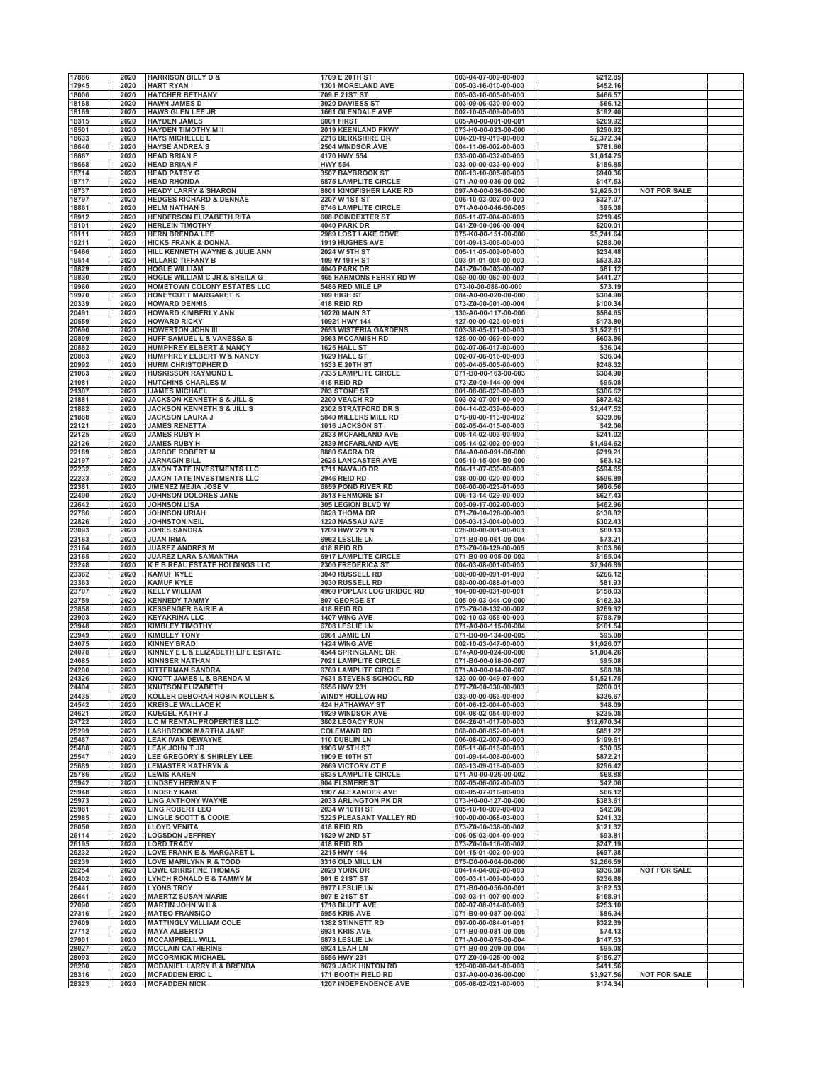| 17886          | 2020         | <b>HARRISON BILLY D &amp;</b>                                     | 1709 E 20TH ST                                    | 003-04-07-009-00-000                         | \$212.85               |                     |  |
|----------------|--------------|-------------------------------------------------------------------|---------------------------------------------------|----------------------------------------------|------------------------|---------------------|--|
| 17945          | 2020         | <b>HART RYAN</b>                                                  | <b>1301 MORELAND AVE</b>                          | 005-03-16-010-00-000                         | \$452.16               |                     |  |
| 18006          | 2020         | <b>HATCHER BETHANY</b>                                            | 709 E 21ST ST                                     | 003-03-10-005-00-000                         | \$466.57               |                     |  |
| 18168          | 2020<br>2020 | <b>HAWN JAMES D</b>                                               | 3020 DAVIESS ST<br>1661 GLENDALE AVE              | 003-09-06-030-00-000<br>002-10-05-009-00-000 | \$66.12                |                     |  |
| 18169<br>18315 | 2020         | <b>HAWS GLEN LEE JR</b><br><b>HAYDEN JAMES</b>                    | <b>6001 FIRST</b>                                 | 005-A0-00-001-00-001                         | \$192.40<br>\$269.92   |                     |  |
| 18501          | 2020         | <b>HAYDEN TIMOTHY M II</b>                                        | 2019 KEENLAND PKWY                                | 073-H0-00-023-00-000                         | \$290.92               |                     |  |
| 18633          | 2020         | <b>HAYS MICHELLE L</b>                                            | 2216 BERKSHIRE DR                                 | 004-20-19-019-00-000                         | \$2,372.34             |                     |  |
| 18640          | 2020         | <b>HAYSE ANDREA S</b>                                             | <b>2504 WINDSOR AVE</b>                           | 004-11-06-002-00-000                         | \$781.66               |                     |  |
| 18667          | 2020         | <b>HEAD BRIAN F</b><br><b>HEAD BRIAN F</b>                        | 4170 HWY 554                                      | 033-00-00-032-00-000                         | \$1,014.75             |                     |  |
| 18668<br>18714 | 2020<br>2020 | <b>HEAD PATSY G</b>                                               | <b>HWY 554</b><br>3507 BAYBROOK ST                | 033-00-00-033-00-000<br>006-13-10-005-00-000 | \$186.85<br>\$940.36   |                     |  |
| 18717          | 2020         | <b>HEAD RHONDA</b>                                                | 6875 LAMPLITE CIRCLE                              | 071-A0-00-036-00-002                         | \$147.53               |                     |  |
| 18737          | 2020         | <b>HEADY LARRY &amp; SHARON</b>                                   | 8801 KINGFISHER LAKE RD                           | 097-A0-00-036-00-000                         | \$2,625.01             | <b>NOT FOR SALE</b> |  |
| 18797          | 2020         | <b>HEDGES RICHARD &amp; DENNAE</b>                                | 2207 W 1ST ST                                     | 006-10-03-002-00-000                         | \$327.07               |                     |  |
| 18861<br>18912 | 2020<br>2020 | <b>HELM NATHAN S</b><br><b>HENDERSON ELIZABETH RITA</b>           | 6746 LAMPLITE CIRCLE<br><b>608 POINDEXTER ST</b>  | 071-A0-00-046-00-005<br>005-11-07-004-00-000 | \$95.08<br>\$219.45    |                     |  |
| 19101          | 2020         | <b>HERLEIN TIMOTHY</b>                                            | 4040 PARK DR                                      | 041-Z0-00-006-00-004                         | \$200.01               |                     |  |
| 19111          | 2020         | <b>HERN BRENDA LEE</b>                                            | <b>2989 LOST LAKE COVE</b>                        | 075-K0-00-151-00-000                         | \$5,241.64             |                     |  |
| 19211          | 2020         | <b>HICKS FRANK &amp; DONNA</b>                                    | <b>1919 HUGHES AVE</b>                            | 001-09-13-006-00-000                         | \$288.00               |                     |  |
| 19466          | 2020         | HILL KENNETH WAYNE & JULIE ANN                                    | 2024 W 5TH ST                                     | 005-11-05-009-00-000                         | \$234.48               |                     |  |
| 19514<br>19829 | 2020<br>2020 | <b>HILLARD TIFFANY B</b><br><b>HOGLE WILLIAM</b>                  | 109 W 19TH ST<br><b>4040 PARK DR</b>              | 003-01-01-004-00-000<br>041-Z0-00-003-00-007 | \$533.33<br>\$81.12    |                     |  |
| 19830          | 2020         | <b>HOGLE WILLIAM C JR &amp; SHEILA G</b>                          | <b>465 HARMONS FERRY RD W</b>                     | 059-00-00-060-00-000                         | \$441.27               |                     |  |
| 19960          | 2020         | HOMETOWN COLONY ESTATES LLC                                       | 5486 RED MILE LP                                  | 073-I0-00-086-00-000                         | \$73.19                |                     |  |
| 19970          | 2020         | <b>HONEYCUTT MARGARET K</b>                                       | 109 HIGH ST                                       | 084-A0-00-020-00-000                         | \$304.90               |                     |  |
| 20339          | 2020         | <b>HOWARD DENNIS</b>                                              | 418 REID RD                                       | 073-Z0-00-001-00-004                         | \$100.34               |                     |  |
| 20491<br>20559 | 2020<br>2020 | <b>HOWARD KIMBERLY ANN</b><br><b>HOWARD RICKY</b>                 | <b>10220 MAIN ST</b><br>10921 HWY 144             | 130-A0-00-117-00-000<br>127-00-00-023-00-001 | \$584.65<br>\$173.80   |                     |  |
| 20690          | 2020         | <b>HOWERTON JOHN III</b>                                          | <b>2653 WISTERIA GARDENS</b>                      | 003-38-05-171-00-000                         | \$1,522.61             |                     |  |
| 20809          | 2020         | <b>HUFF SAMUEL L &amp; VANESSA S</b>                              | 9563 MCCAMISH RD                                  | 128-00-00-069-00-000                         | \$603.86               |                     |  |
| 20882          | 2020         | <b>HUMPHREY ELBERT &amp; NANCY</b>                                | 1625 HALL ST                                      | 002-07-06-017-00-000                         | \$36.04                |                     |  |
| 20883<br>20992 | 2020<br>2020 | <b>HUMPHREY ELBERT W &amp; NANCY</b><br><b>HURM CHRISTOPHER D</b> | 1629 HALL ST<br>1533 E 20TH ST                    | 002-07-06-016-00-000<br>003-04-05-005-00-000 | \$36.04<br>\$248.32    |                     |  |
| 21063          | 2020         | <b>HUSKISSON RAYMOND L</b>                                        | <b>7335 LAMPLITE CIRCLE</b>                       | 071-B0-00-163-00-003                         | \$304.90               |                     |  |
| 21081          | 2020         | <b>HUTCHINS CHARLES M</b>                                         | 418 REID RD                                       | 073-Z0-00-144-00-004                         | \$95.08                |                     |  |
| 21307          | 2020         | <b>IJAMES MICHAEL</b>                                             | 703 STONE ST                                      | 001-08-06-020-00-000                         | \$306.62               |                     |  |
| 21881          | 2020         | <b>JACKSON KENNETH S &amp; JILL S</b>                             | 2200 VEACH RD                                     | 003-02-07-001-00-000                         | \$872.42               |                     |  |
| 21882<br>21888 | 2020<br>2020 | <b>JACKSON KENNETH S &amp; JILL S</b><br><b>JACKSON LAURA J</b>   | 2302 STRATFORD DR S<br>5840 MILLERS MILL RD       | 004-14-02-039-00-000<br>076-00-00-113-00-002 | \$2,447.52<br>\$339.86 |                     |  |
| 22121          | 2020         | <b>JAMES RENETTA</b>                                              | 1016 JACKSON ST                                   | 002-05-04-015-00-000                         | \$42.06                |                     |  |
| 22125          | 2020         | <b>JAMES RUBY H</b>                                               | 2833 MCFARLAND AVE                                | 005-14-02-003-00-000                         | \$241.02               |                     |  |
| 22126          | 2020         | <b>JAMES RUBY H</b>                                               | <b>2839 MCFARLAND AVE</b>                         | 005-14-02-002-00-000                         | \$1,494.62             |                     |  |
| 22189          | 2020         | <b>JARBOE ROBERT M</b>                                            | 8880 SACRA DR                                     | 084-A0-00-091-00-000                         | \$219.21               |                     |  |
| 22197<br>22232 | 2020<br>2020 | <b>JARNAGIN BILL</b><br>JAXON TATE INVESTMENTS LLC                | <b>2625 LANCASTER AVE</b><br>1711 NAVAJO DR       | 005-10-15-004-B0-000<br>004-11-07-030-00-000 | \$63.12<br>\$594.65    |                     |  |
| 22233          | 2020         | JAXON TATE INVESTMENTS LLC                                        | <b>2946 REID RD</b>                               | 088-00-00-020-00-000                         | \$596.89               |                     |  |
| 22381          | 2020         | JIMENEZ MEJIA JOSE V                                              | 6859 POND RIVER RD                                | 006-00-00-023-01-000                         | \$696.56               |                     |  |
| 22490          | 2020         | JOHNSON DOLORES JANE                                              | 3518 FENMORE ST                                   | 006-13-14-029-00-000                         | \$627.43               |                     |  |
| 22642          | 2020<br>2020 | <b>JOHNSON LISA</b>                                               | 305 LEGION BLVD W                                 | 003-09-17-002-00-000                         | \$462.96               |                     |  |
| 22786<br>22826 | 2020         | <b>JOHNSON URIAH</b><br><b>JOHNSTON NEIL</b>                      | 6828 THOMA DR<br>1220 NASSAU AVE                  | 071-Z0-00-028-00-003<br>005-03-13-004-00-000 | \$138.82<br>\$302.43   |                     |  |
| 23093          | 2020         | <b>JONES SANDRA</b>                                               | 1209 HWY 279 N                                    | 028-00-00-001-00-003                         | \$60.13                |                     |  |
| 23163          | 2020         | <b>JUAN IRMA</b>                                                  | 6962 LESLIE LN                                    | 071-B0-00-061-00-004                         | \$73.21                |                     |  |
| 23164          | 2020         | <b>JUAREZ ANDRES M</b>                                            | 418 REID RD                                       | 073-Z0-00-129-00-005                         | \$103.86               |                     |  |
| 23165          | 2020         | <b>JUAREZ LARA SAMANTHA</b>                                       | 6917 LAMPLITE CIRCLE                              | 071-B0-00-005-00-003                         | \$165.04               |                     |  |
| 23248<br>23362 | 2020<br>2020 | K E B REAL ESTATE HOLDINGS LLC<br><b>KAMUF KYLE</b>               | 2300 FREDERICA ST<br>3040 RUSSELL RD              | 004-03-08-001-00-000<br>080-00-00-091-01-000 | \$2,946.89<br>\$266.12 |                     |  |
| 23363          | 2020         | <b>KAMUF KYLE</b>                                                 | 3030 RUSSELL RD                                   | 080-00-00-088-01-000                         | \$81.93                |                     |  |
| 23707          | 2020         | <b>KELLY WILLIAM</b>                                              | 4960 POPLAR LOG BRIDGE RD                         | 104-00-00-031-00-001                         | \$158.03               |                     |  |
| 23759          | 2020         | <b>KENNEDY TAMMY</b>                                              | 807 GEORGE ST                                     | 005-09-03-044-C0-000                         | \$162.33               |                     |  |
| 23858<br>23903 | 2020<br>2020 | <b>KESSENGER BAIRIE A</b><br><b>KEYAKRINA LLC</b>                 | 418 REID RD<br>1407 WING AVE                      | 073-Z0-00-132-00-002<br>002-10-03-056-00-000 | \$269.92<br>\$798.79   |                     |  |
| 23948          | 2020         | <b>KIMBLEY TIMOTHY</b>                                            | <b>6708 LESLIE LN</b>                             | 071-A0-00-115-00-004                         | \$161.54               |                     |  |
| 23949          | 2020         | <b>KIMBLEY TONY</b>                                               | 6961 JAMIE LN                                     | 071-B0-00-134-00-005                         | \$95.08                |                     |  |
| 24075          | 2020         | <b>KINNEY BRAD</b>                                                | 1424 WING AVE                                     | 002-10-03-047-00-000                         | \$1,026.07             |                     |  |
| 24078<br>24085 | 2020<br>2020 | KINNEY E L & ELIZABETH LIFE ESTATE<br><b>KINNSER NATHAN</b>       | <b>4544 SPRINGLANE DR</b><br>7021 LAMPLITE CIRCLE | 074-A0-00-024-00-000<br>071-B0-00-018-00-007 | \$1,004.26<br>\$95.08  |                     |  |
| 24200          | 2020         | <b>KITTERMAN SANDRA</b>                                           | 6769 LAMPLITE CIRCLE                              | 071-A0-00-014-00-007                         | \$68.88                |                     |  |
| 24326          | 2020         | <b>KNOTT JAMES L &amp; BRENDA M</b>                               | <b>7631 STEVENS SCHOOL RD</b>                     | 123-00-00-049-07-000                         | \$1,521.75             |                     |  |
| 24404          | 2020         | <b>KNUTSON ELIZABETH</b>                                          | 6556 HWY 231                                      | 077-Z0-00-030-00-003                         | \$200.01               |                     |  |
| 24435          | 2020         | KOLLER DEBORAH ROBIN KOLLER &                                     | <b>WINDY HOLLOW RD</b>                            | 033-00-00-063-00-000                         | \$336.67               |                     |  |
| 24542<br>24621 | 2020<br>2020 | <b>KREISLE WALLACE K</b><br><b>KUEGEL KATHY J</b>                 | <b>424 HATHAWAY ST</b><br>1929 WINDSOR AVE        | 001-06-12-004-00-000<br>004-08-02-054-00-000 | \$48.09<br>\$235.08    |                     |  |
| 24722          | 2020         | L C M RENTAL PROPERTIES LLC                                       | 3802 LEGACY RUN                                   | 004-26-01-017-00-000                         | \$12,670.34            |                     |  |
| 25299          | 2020         | <b>LASHBROOK MARTHA JANE</b>                                      | <b>COLEMAND RD</b>                                | 068-00-00-052-00-001                         | \$851.22               |                     |  |
| 25487          | 2020         | <b>LEAK IVAN DEWAYNE</b>                                          | 110 DUBLIN LN                                     | 006-08-02-007-00-000                         | \$199.61               |                     |  |
| 25488<br>25547 | 2020<br>2020 | <b>LEAK JOHN T JR</b><br>LEE GREGORY & SHIRLEY LEE                | 1906 W 5TH ST<br>1909 E 10TH ST                   | 005-11-06-018-00-000<br>001-09-14-006-00-000 | \$30.05<br>\$872.21    |                     |  |
| 25689          | 2020         | <b>LEMASTER KATHRYN &amp;</b>                                     | <b>2669 VICTORY CT E</b>                          | 003-13-09-018-00-000                         | \$296.42               |                     |  |
| 25786          | 2020         | <b>LEWIS KAREN</b>                                                | <b>6835 LAMPLITE CIRCLE</b>                       | 071-A0-00-026-00-002                         | \$68.88                |                     |  |
| 25942          | 2020         | <b>LINDSEY HERMAN E</b>                                           | 904 ELSMERE ST                                    | 002-05-06-002-00-000                         | \$42.06                |                     |  |
| 25948<br>25973 | 2020<br>2020 | <b>LINDSEY KARL</b><br><b>LING ANTHONY WAYNE</b>                  | <b>1907 ALEXANDER AVE</b><br>2033 ARLINGTON PK DR | 003-05-07-016-00-000<br>073-H0-00-127-00-000 | \$66.12<br>\$383.61    |                     |  |
| 25981          | 2020         | <b>LING ROBERT LEO</b>                                            | 2034 W 10TH ST                                    | 005-10-10-009-00-000                         | \$42.06                |                     |  |
| 25985          | 2020         | <b>LINGLE SCOTT &amp; CODIE</b>                                   | 5225 PLEASANT VALLEY RD                           | 100-00-00-068-03-000                         | \$241.32               |                     |  |
| 26050          | 2020         | <b>LLOYD VENITA</b>                                               | 418 REID RD                                       | 073-Z0-00-038-00-002                         | \$121.32               |                     |  |
| 26114          | 2020<br>2020 | <b>LOGSDON JEFFREY</b><br><b>LORD TRACY</b>                       | 1529 W 2ND ST                                     | 006-05-03-004-00-000                         | \$93.81<br>\$247.19    |                     |  |
| 26195<br>26232 | 2020         | LOVE FRANK E & MARGARET L                                         | 418 REID RD<br>2215 HWY 144                       | 073-Z0-00-116-00-002<br>001-15-01-002-00-000 | \$697.38               |                     |  |
| 26239          | 2020         | <b>LOVE MARILYNN R &amp; TODD</b>                                 | 3316 OLD MILL LN                                  | 075-D0-00-004-00-000                         | \$2,266.59             |                     |  |
| 26254          | 2020         | <b>LOWE CHRISTINE THOMAS</b>                                      | <b>2020 YORK DR</b>                               | 004-14-04-002-00-000                         | \$936.08               | <b>NOT FOR SALE</b> |  |
| 26402          | 2020         | LYNCH RONALD E & TAMMY M                                          | 801 E 21ST ST                                     | 003-03-11-009-00-000                         | \$236.88               |                     |  |
| 26441<br>26641 | 2020<br>2020 | <b>LYONS TROY</b><br><b>MAERTZ SUSAN MARIE</b>                    | 6977 LESLIE LN<br>807 E 21ST ST                   | 071-B0-00-056-00-001<br>003-03-11-007-00-000 | \$182.53<br>\$168.91   |                     |  |
| 27090          | 2020         | <b>MARTIN JOHN W II &amp;</b>                                     | 1718 BLUFF AVE                                    | 002-07-08-014-00-000                         | \$253.10               |                     |  |
| 27316          | 2020         | <b>MATEO FRANSICO</b>                                             | 6955 KRIS AVE                                     | 071-B0-00-087-00-003                         | \$86.34                |                     |  |
| 27609          | 2020         | <b>MATTINGLY WILLIAM COLE</b>                                     | <b>1382 STINNETT RD</b>                           | 097-00-00-084-01-001                         | \$322.39               |                     |  |
| 27712          | 2020<br>2020 | <b>MAYA ALBERTO</b>                                               | 6931 KRIS AVE                                     | 071-B0-00-081-00-005                         | \$74.13                |                     |  |
| 27901<br>28027 | 2020         | <b>MCCAMPBELL WILL</b><br><b>MCCLAIN CATHERINE</b>                | 6873 LESLIE LN<br>6924 LEAH LN                    | 071-A0-00-075-00-004<br>071-B0-00-209-00-004 | \$147.53<br>\$95.08    |                     |  |
| 28093          | 2020         | <b>MCCORMICK MICHAEL</b>                                          | 6556 HWY 231                                      | 077-Z0-00-025-00-002                         | \$156.27               |                     |  |
| 28200          | 2020         | <b>MCDANIEL LARRY B &amp; BRENDA</b>                              | <b>8679 JACK HINTON RD</b>                        | 120-00-00-041-00-000                         | \$411.56               |                     |  |
| 28316          | 2020         | <b>MCFADDEN ERIC L</b>                                            | 171 BOOTH FIELD RD                                | 037-A0-00-036-00-000                         | \$3,927.56             | <b>NOT FOR SALE</b> |  |
| 28323          | 2020         | <b>MCFADDEN NICK</b>                                              | 1207 INDEPENDENCE AVE                             | 005-08-02-021-00-000                         | \$174.34               |                     |  |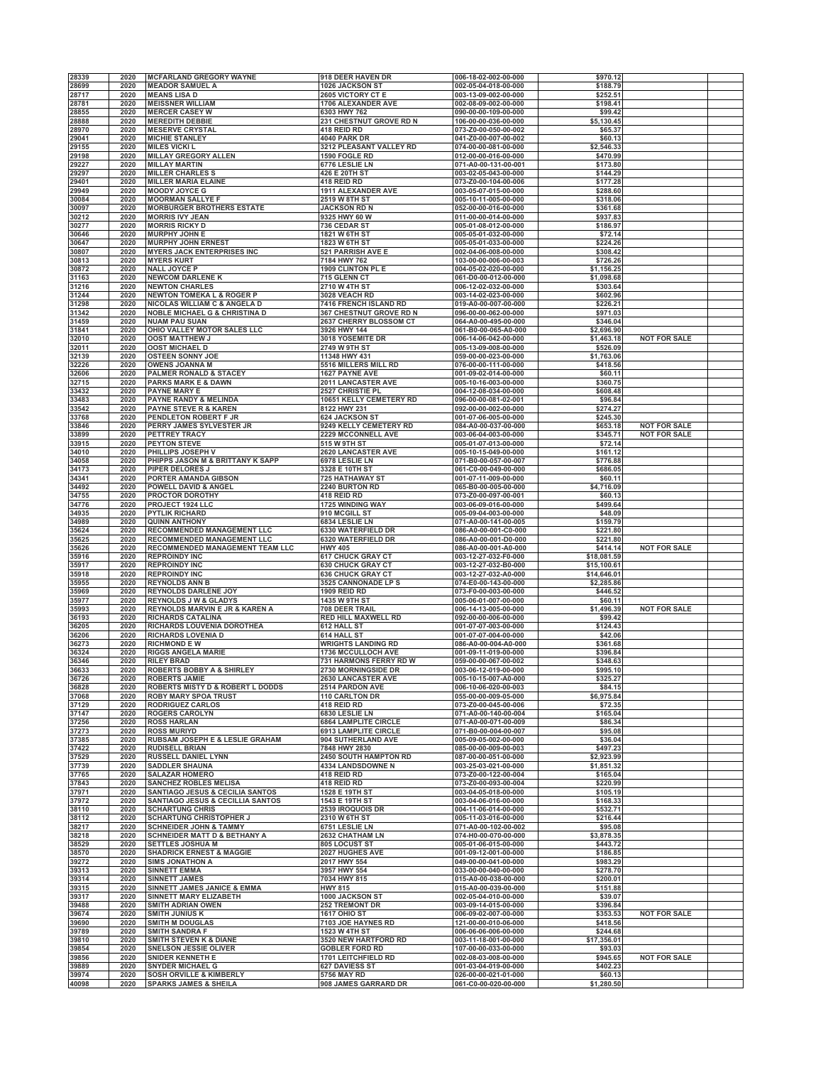|                |      |                                                         |                              | 006-18-02-002-00-000 |             |                     |
|----------------|------|---------------------------------------------------------|------------------------------|----------------------|-------------|---------------------|
| 28339          | 2020 | <b>MCFARLAND GREGORY WAYNE</b>                          | 918 DEER HAVEN DR            |                      | \$970.12    |                     |
| 28699          | 2020 | <b>MEADOR SAMUEL A</b>                                  | <b>1026 JACKSON ST</b>       | 002-05-04-018-00-000 | \$188.79    |                     |
| 28717          | 2020 | <b>MEANS LISA D</b>                                     | 2605 VICTORY CT E            | 003-13-09-002-00-000 | \$252.51    |                     |
| 28781          | 2020 | <b>MEISSNER WILLIAM</b>                                 | 1706 ALEXANDER AVE           | 002-08-09-002-00-000 | \$198.41    |                     |
| 28855          | 2020 | <b>MERCER CASEY W</b>                                   | 6303 HWY 762                 | 090-00-00-109-00-000 | \$99.42     |                     |
| 28888          | 2020 | <b>MEREDITH DEBBIE</b>                                  | 231 CHESTNUT GROVE RD N      | 106-00-00-036-00-000 | \$5,130.45  |                     |
| 28970          | 2020 | <b>MESERVE CRYSTAL</b>                                  | 418 REID RD                  | 073-Z0-00-050-00-002 | \$65.37     |                     |
| 29041          | 2020 | <b>MICHIE STANLEY</b>                                   | 4040 PARK DR                 | 041-Z0-00-007-00-002 | \$60.13     |                     |
|                |      |                                                         |                              |                      |             |                     |
| 29155          | 2020 | <b>MILES VICKI L</b>                                    | 3212 PLEASANT VALLEY RD      | 074-00-00-081-00-000 | \$2,546.33  |                     |
| 29198          | 2020 | <b>MILLAY GREGORY ALLEN</b>                             | 1590 FOGLE RD                | 012-00-00-016-00-000 | \$470.99    |                     |
| 29227          | 2020 | <b>MILLAY MARTIN</b>                                    | 6776 LESLIE LN               | 071-A0-00-131-00-001 | \$173.80    |                     |
| 29297          | 2020 | <b>MILLER CHARLES S</b>                                 | 426 E 20TH ST                | 003-02-05-043-00-000 | \$144.29    |                     |
| 29401          | 2020 | <b>MILLER MARIA ELAINE</b>                              | 418 REID RD                  | 073-Z0-00-104-00-006 | \$177.28    |                     |
| 29949          | 2020 | <b>MOODY JOYCE G</b>                                    | <b>1911 ALEXANDER AVE</b>    | 003-05-07-015-00-000 | \$288.60    |                     |
|                |      |                                                         |                              |                      |             |                     |
| 30084          | 2020 | <b>MOORMAN SALLYE F</b>                                 | 2519 W 8TH ST                | 005-10-11-005-00-000 | \$318.06    |                     |
| 30097          | 2020 | <b>MORBURGER BROTHERS ESTATE</b>                        | <b>JACKSON RD N</b>          | 052-00-00-016-00-000 | \$361.68    |                     |
| 30212          | 2020 | <b>MORRIS IVY JEAN</b>                                  | 9325 HWY 60 W                | 011-00-00-014-00-000 | \$937.83    |                     |
| 30277          | 2020 | <b>MORRIS RICKY D</b>                                   | 736 CEDAR ST                 | 005-01-08-012-00-000 | \$186.97    |                     |
| 30646          | 2020 | <b>MURPHY JOHN E</b>                                    | 1821 W 6TH ST                | 005-05-01-032-00-000 | \$72.14     |                     |
| 30647          | 2020 | <b>MURPHY JOHN ERNEST</b>                               | <b>1823 W 6TH ST</b>         | 005-05-01-033-00-000 | \$224.26    |                     |
| 30807          | 2020 | <b>MYERS JACK ENTERPRISES INC</b>                       | 521 PARRISH AVE E            | 002-04-06-008-00-000 | \$308.42    |                     |
|                |      |                                                         |                              |                      |             |                     |
| 30813          | 2020 | <b>MYERS KURT</b>                                       | 7184 HWY 762                 | 103-00-00-006-00-003 | \$726.26    |                     |
| 30872          | 2020 | <b>NALL JOYCE P</b>                                     | 1909 CLINTON PL E            | 004-05-02-020-00-000 | \$1,156.25  |                     |
| 31163          | 2020 | <b>NEWCOM DARLENE K</b>                                 | 715 GLENN CT                 | 061-D0-00-012-00-000 | \$1,098.68  |                     |
| 31216          | 2020 | <b>NEWTON CHARLES</b>                                   | 2710 W 4TH ST                | 006-12-02-032-00-000 | \$303.64    |                     |
| 31244          | 2020 | <b>NEWTON TOMEKA L &amp; ROGER P</b>                    | <b>3028 VEACH RD</b>         | 003-14-02-023-00-000 | \$602.96    |                     |
| 31298          | 2020 | NICOLAS WILLIAM C & ANGELA D                            | <b>7416 FRENCH ISLAND RD</b> | 019-A0-00-007-00-000 | \$226.21    |                     |
| 31342          | 2020 |                                                         | 367 CHESTNUT GROVE RD N      |                      |             |                     |
|                |      | <b>NOBLE MICHAEL G &amp; CHRISTINA D</b>                |                              | 096-00-00-062-00-000 | \$971.03    |                     |
| 31459          | 2020 | <b>NUAM PAU SUAN</b>                                    | 2637 CHERRY BLOSSOM CT       | 064-A0-00-495-00-000 | \$346.04    |                     |
| 31841          | 2020 | OHIO VALLEY MOTOR SALES LLC                             | 3926 HWY 144                 | 061-B0-00-065-A0-000 | \$2,696.90  |                     |
| 32010          | 2020 | <b>OOST MATTHEW J</b>                                   | 3018 YOSEMITE DR             | 006-14-06-042-00-000 | \$1,463.18  | <b>NOT FOR SALE</b> |
| 32011          | 2020 | <b>OOST MICHAEL D</b>                                   | 2749 W 9TH ST                | 005-13-09-008-00-000 | \$526.09    |                     |
| 32139          | 2020 | <b>OSTEEN SONNY JOE</b>                                 | 11348 HWY 431                | 059-00-00-023-00-000 | \$1,763.06  |                     |
| 32226          | 2020 | <b>OWENS JOANNA M</b>                                   | 5516 MILLERS MILL RD         | 076-00-00-111-00-000 | \$418.56    |                     |
| 32606          | 2020 | <b>PALMER RONALD &amp; STACEY</b>                       | <b>1627 PAYNE AVE</b>        | 001-09-02-014-00-000 | \$60.11     |                     |
|                | 2020 | <b>PARKS MARK E &amp; DAWN</b>                          |                              |                      |             |                     |
| 32715          |      |                                                         | 2011 LANCASTER AVE           | 005-10-16-003-00-000 | \$360.75    |                     |
| 33432          | 2020 | <b>PAYNE MARY E</b>                                     | 2527 CHRISTIE PL             | 004-12-08-034-00-000 | \$608.48    |                     |
| 33483          | 2020 | <b>PAYNE RANDY &amp; MELINDA</b>                        | 10651 KELLY CEMETERY RD      | 096-00-00-081-02-001 | \$96.84     |                     |
| 33542          | 2020 | <b>PAYNE STEVE R &amp; KAREN</b>                        | 8122 HWY 231                 | 092-00-00-002-00-000 | \$274.27    |                     |
| 33768          | 2020 | PENDLETON ROBERT F JR                                   | <b>624 JACKSON ST</b>        | 001-07-06-005-00-000 | \$245.30    |                     |
| 33846          | 2020 | PERRY JAMES SYLVESTER JR                                | 9249 KELLY CEMETERY RD       | 084-A0-00-037-00-000 | \$653.18    | <b>NOT FOR SALE</b> |
| 33899          | 2020 | PETTREY TRACY                                           | 2229 MCCONNELL AVE           | 003-06-04-003-00-000 | \$345.71    | <b>NOT FOR SALE</b> |
|                |      |                                                         | 515 W 9TH ST                 | 005-01-07-013-00-000 | \$72.14     |                     |
| 33915          | 2020 | <b>PEYTON STEVE</b>                                     |                              |                      |             |                     |
| 34010          | 2020 | PHILLIPS JOSEPH V                                       | 2620 LANCASTER AVE           | 005-10-15-049-00-000 | \$161.12    |                     |
| 34058          | 2020 | PHIPPS JASON M & BRITTANY K SAPP                        | 6978 LESLIE LN               | 071-B0-00-057-00-007 | \$776.88    |                     |
| 34173          | 2020 | PIPER DELORES J                                         | 3328 E 10TH ST               | 061-C0-00-049-00-000 | \$686.05    |                     |
| 34341          | 2020 | PORTER AMANDA GIBSON                                    | <b>725 HATHAWAY ST</b>       | 001-07-11-009-00-000 | \$60.11     |                     |
| 34492          | 2020 | POWELL DAVID & ANGEL                                    | 2240 BURTON RD               | 065-B0-00-005-00-000 | \$4,716.09  |                     |
| 34755          | 2020 | PROCTOR DOROTHY                                         | 418 REID RD                  | 073-Z0-00-097-00-001 | \$60.13     |                     |
|                |      |                                                         |                              |                      |             |                     |
| 34776          | 2020 | PROJECT 1924 LLC                                        | 1725 WINDING WAY             | 003-06-09-016-00-000 | \$499.64    |                     |
| 34935          | 2020 | <b>PYTLIK RICHARD</b>                                   | 910 MCGILL ST                | 005-09-04-003-00-000 | \$48.09     |                     |
| 34989          | 2020 | <b>QUINN ANTHONY</b>                                    | 6834 LESLIE LN               | 071-A0-00-141-00-005 | \$159.79    |                     |
| 35624          | 2020 | RECOMMENDED MANAGEMENT LLC                              | 6330 WATERFIELD DR           | 086-A0-00-001-C0-000 | \$221.80    |                     |
| 35625          | 2020 | RECOMMENDED MANAGEMENT LLC                              | 6320 WATERFIELD DR           | 086-A0-00-001-D0-000 | \$221.80    |                     |
| 35626          | 2020 | RECOMMENDED MANAGEMENT TEAM LLC                         | <b>HWY 405</b>               | 086-A0-00-001-A0-000 | \$414.14    | <b>NOT FOR SALE</b> |
| 35916          | 2020 | <b>REPROINDY INC</b>                                    | <b>617 CHUCK GRAY CT</b>     | 003-12-27-032-F0-000 | \$18,081.59 |                     |
| 35917          | 2020 | <b>REPROINDY INC</b>                                    | <b>630 CHUCK GRAY CT</b>     | 003-12-27-032-B0-000 | \$15,100.61 |                     |
|                |      |                                                         |                              |                      |             |                     |
| 35918          | 2020 | <b>REPROINDY INC</b>                                    | <b>636 CHUCK GRAY CT</b>     | 003-12-27-032-A0-000 | \$14,646.01 |                     |
| 35955          | 2020 | <b>REYNOLDS ANN B</b>                                   | 3525 CANNONADE LP S          | 074-E0-00-143-00-000 | \$2,285.86  |                     |
| 35969          | 2020 | <b>REYNOLDS DARLENE JOY</b>                             | <b>1909 REID RD</b>          | 073-F0-00-003-00-000 | \$446.52    |                     |
| 35977          | 2020 | <b>REYNOLDS J W &amp; GLADYS</b>                        | <b>1435 W 9TH ST</b>         | 005-06-01-007-00-000 | \$60.11     |                     |
| 35993          | 2020 | REYNOLDS MARVIN E JR & KAREN A                          | 708 DEER TRAIL               | 006-14-13-005-00-000 | \$1,496.39  | <b>NOT FOR SALE</b> |
| 36193          | 2020 | <b>RICHARDS CATALINA</b>                                | RED HILL MAXWELL RD          | 092-00-00-006-00-000 | \$99.42     |                     |
|                | 2020 |                                                         |                              | 001-07-07-003-00-000 |             |                     |
| 36205<br>36206 | 2020 | RICHARDS LOUVENIA DOROTHEA<br><b>RICHARDS LOVENIA D</b> | 612 HALL ST                  |                      | \$124.43    |                     |
|                |      |                                                         | 614 HALL ST                  | 001-07-07-004-00-000 | \$42.06     |                     |
| 36273          | 2020 | <b>RICHMOND E W</b>                                     | <b>WRIGHTS LANDING RD</b>    | 086-A0-00-004-A0-000 | \$361.68    |                     |
| 36324          | 2020 | <b>RIGGS ANGELA MARIE</b>                               | <b>1736 MCCULLOCH AVE</b>    | 001-09-11-019-00-000 | \$396.84    |                     |
| 36346          | 2020 | <b>RILEY BRAD</b>                                       | 731 HARMONS FERRY RD W       | 059-00-00-067-00-002 | \$348.63    |                     |
| 36633          | 2020 | <b>ROBERTS BOBBY A &amp; SHIRLEY</b>                    | 2730 MORNINGSIDE DR          | 003-06-12-019-00-000 | \$995.10    |                     |
| 36726          | 2020 | <b>ROBERTS JAMIE</b>                                    | 2630 LANCASTER AVE           | 005-10-15-007-A0-000 | \$325.27    |                     |
| 36828          | 2020 | ROBERTS MISTY D & ROBERT L DODDS                        | 2514 PARDON AVE              | 006-10-06-020-00-003 | \$84.15     |                     |
| 37068          | 2020 |                                                         |                              |                      | \$6,975.84  |                     |
|                |      | <b>ROBY MARY SPOA TRUST</b>                             | <b>110 CARLTON DR</b>        | 055-00-00-009-05-000 |             |                     |
| 37129          | 2020 | <b>RODRIGUEZ CARLOS</b>                                 | 418 REID RD                  | 073-Z0-00-045-00-006 | \$72.35     |                     |
| 37147          | 2020 | <b>ROGERS CAROLYN</b>                                   | 6830 LESLIE LN               | 071-A0-00-140-00-004 | \$165.04    |                     |
| 37256          | 2020 | <b>ROSS HARLAN</b>                                      | <b>6864 LAMPLITE CIRCLE</b>  | 071-A0-00-071-00-009 | \$86.34     |                     |
| 37273          | 2020 | <b>ROSS MURIYD</b>                                      | 6913 LAMPLITE CIRCLE         | 071-B0-00-004-00-007 | \$95.08     |                     |
| 37385          | 2020 | RUBSAM JOSEPH E & LESLIE GRAHAM                         | 904 SUTHERLAND AVE           | 005-09-05-002-00-000 | \$36.04     |                     |
| 37422          | 2020 | <b>RUDISELL BRIAN</b>                                   | 7848 HWY 2830                | 085-00-00-009-00-003 | \$497.23    |                     |
| 37529          | 2020 | <b>RUSSELL DANIEL LYNN</b>                              | <b>2450 SOUTH HAMPTON RD</b> | 087-00-00-051-00-000 | \$2,923.99  |                     |
| 37739          | 2020 | <b>SADDLER SHAUNA</b>                                   | 4334 LANDSDOWNE N            | 003-25-03-021-00-000 | \$1,851.32  |                     |
|                | 2020 |                                                         |                              |                      | \$165.04    |                     |
| 37765          |      | <b>SALAZAR HOMERO</b>                                   | 418 REID RD                  | 073-Z0-00-122-00-004 |             |                     |
| 37843          | 2020 | <b>SANCHEZ ROBLES MELISA</b>                            | <b>418 REID RD</b>           | 073-Z0-00-093-00-004 | \$220.99    |                     |
| 37971          | 2020 | <b>SANTIAGO JESUS &amp; CECILIA SANTOS</b>              | 1528 E 19TH ST               | 003-04-05-018-00-000 | \$105.19    |                     |
| 37972          | 2020 | <b>SANTIAGO JESUS &amp; CECILLIA SANTOS</b>             | 1543 E 19TH ST               | 003-04-06-016-00-000 | \$168.33    |                     |
| 38110          | 2020 | <b>SCHARTUNG CHRIS</b>                                  | 2539 IROQUOIS DR             | 004-11-06-014-00-000 | \$532.71    |                     |
| 38112          | 2020 | <b>SCHARTUNG CHRISTOPHER J</b>                          | 2310 W 6TH ST                | 005-11-03-016-00-000 | \$216.44    |                     |
| 38217          | 2020 | <b>SCHNEIDER JOHN &amp; TAMMY</b>                       | 6751 LESLIE LN               | 071-A0-00-102-00-002 | \$95.08     |                     |
| 38218          | 2020 | <b>SCHNEIDER MATT D &amp; BETHANY A</b>                 | 2632 CHATHAM LN              | 074-H0-00-070-00-000 | \$3,878.35  |                     |
| 38529          | 2020 | <b>SETTLES JOSHUA M</b>                                 | 805 LOCUST ST                | 005-01-06-015-00-000 | \$443.72    |                     |
|                |      |                                                         |                              |                      |             |                     |
| 38570          | 2020 | <b>SHADRICK ERNEST &amp; MAGGIE</b>                     | 2027 HUGHES AVE              | 001-09-12-001-00-000 | \$186.85    |                     |
| 39272          | 2020 | <b>SIMS JONATHON A</b>                                  | 2017 HWY 554                 | 049-00-00-041-00-000 | \$983.29    |                     |
| 39313          | 2020 | <b>SINNETT EMMA</b>                                     | 3957 HWY 554                 | 033-00-00-040-00-000 | \$278.70    |                     |
| 39314          | 2020 | <b>SINNETT JAMES</b>                                    | 7034 HWY 815                 | 015-A0-00-038-00-000 | \$200.01    |                     |
| 39315          | 2020 | SINNETT JAMES JANICE & EMMA                             | <b>HWY 815</b>               | 015-A0-00-039-00-000 | \$151.88    |                     |
| 39317          | 2020 | SINNETT MARY ELIZABETH                                  | <b>1000 JACKSON ST</b>       | 002-05-04-010-00-000 | \$39.07     |                     |
| 39488          | 2020 | <b>SMITH ADRIAN OWEN</b>                                | 252 TREMONT DR               | 003-09-14-015-00-000 | \$396.84    |                     |
|                | 2020 |                                                         |                              |                      |             | <b>NOT FOR SALE</b> |
| 39674          |      | <b>SMITH JUNIUS K</b>                                   | <b>1617 OHIO ST</b>          | 006-09-02-007-00-000 | \$353.53    |                     |
| 39690          | 2020 | <b>SMITH M DOUGLAS</b>                                  | 7103 JOE HAYNES RD           | 121-00-00-010-06-000 | \$418.56    |                     |
| 39789          | 2020 | <b>SMITH SANDRA F</b>                                   | 1523 W 4TH ST                | 006-06-06-006-00-000 | \$244.68    |                     |
| 39810          | 2020 | <b>SMITH STEVEN K &amp; DIANE</b>                       | 3520 NEW HARTFORD RD         | 003-11-18-001-00-000 | \$17,356.01 |                     |
| 39854          | 2020 | SNELSON JESSIE OLIVER                                   | <b>GOBLER FORD RD</b>        | 107-00-00-033-00-000 | \$93.03     |                     |
| 39856          | 2020 | SNIDER KENNETH E                                        | 1701 LEITCHFIELD RD          | 002-08-03-008-00-000 | \$945.65    | <b>NOT FOR SALE</b> |
| 39889          | 2020 | <b>SNYDER MICHAEL G</b>                                 | <b>627 DAVIESS ST</b>        | 001-03-04-019-00-000 | \$402.23    |                     |
| 39974          | 2020 | <b>SOSH ORVILLE &amp; KIMBERLY</b>                      | <b>5756 MAY RD</b>           | 026-00-00-021-01-000 | \$60.13     |                     |
| 40098          |      |                                                         |                              |                      |             |                     |
|                | 2020 | <b>SPARKS JAMES &amp; SHEILA</b>                        | 908 JAMES GARRARD DR         | 061-C0-00-020-00-000 | \$1,280.50  |                     |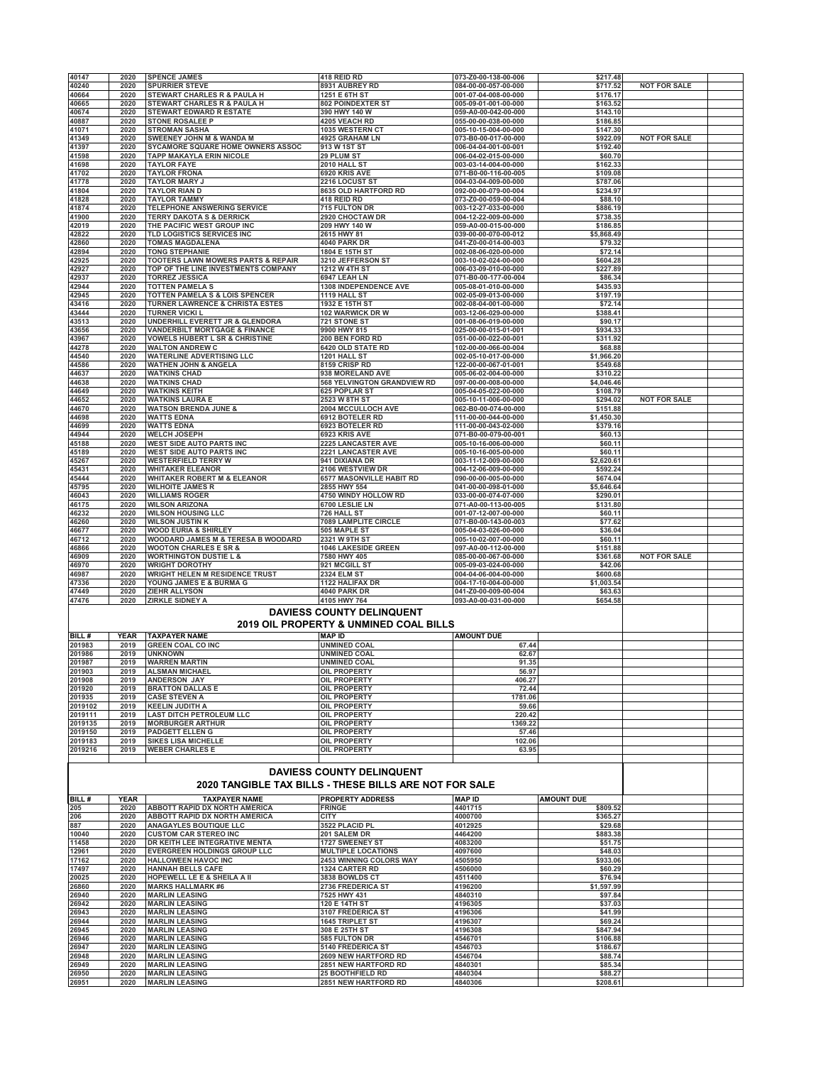|                    | 2020         | <b>SPENCE JAMES</b>                                                                   | 418 REID RD                                            | 073-Z0-00-138-00-006                         | \$217.48               |                     |  |
|--------------------|--------------|---------------------------------------------------------------------------------------|--------------------------------------------------------|----------------------------------------------|------------------------|---------------------|--|
| 40147<br>40240     | 2020         | <b>SPURRIER STEVE</b>                                                                 | 8931 AUBREY RD                                         | 084-00-00-057-00-000                         | \$717.52               | <b>NOT FOR SALE</b> |  |
| 40664              | 2020         | <b>STEWART CHARLES R &amp; PAULA H</b>                                                | 1251 E 6TH ST                                          | 001-07-04-008-00-000                         | \$176.17               |                     |  |
| 40665              | 2020         | STEWART CHARLES R & PAULA H                                                           | 802 POINDEXTER ST                                      | 005-09-01-001-00-000                         | \$163.52               |                     |  |
| 40674              | 2020         | <b>STEWART EDWARD R ESTATE</b>                                                        | 390 HWY 140 W                                          | 059-A0-00-042-00-000                         | \$143.10               |                     |  |
| 40887              | 2020         | <b>STONE ROSALEE P</b>                                                                | 4205 VEACH RD                                          | 055-00-00-038-00-000                         | \$186.85               |                     |  |
| 41071              | 2020         | <b>STROMAN SASHA</b>                                                                  | 1035 WESTERN CT                                        | 005-10-15-004-00-000                         | \$147.30               |                     |  |
| 41349<br>41397     | 2020<br>2020 | SWEENEY JOHN M & WANDA M<br>SYCAMORE SQUARE HOME OWNERS ASSOC                         | 4925 GRAHAM LN<br>913 W 1ST ST                         | 073-B0-00-017-00-000<br>006-04-04-001-00-001 | \$922.09<br>\$192.40   | <b>NOT FOR SALE</b> |  |
| 41598              | 2020         | <b>TAPP MAKAYLA ERIN NICOLE</b>                                                       | 29 PLUM ST                                             | 006-04-02-015-00-000                         | \$60.70                |                     |  |
| 41698              | 2020         | <b>TAYLOR FAYE</b>                                                                    | 2010 HALL ST                                           | 003-03-14-004-00-000                         | \$162.33               |                     |  |
| 41702              | 2020         | <b>TAYLOR FRONA</b>                                                                   | 6920 KRIS AVE                                          | 071-B0-00-116-00-005                         | \$109.08               |                     |  |
| 41778              | 2020         | TAYLOR MARY J                                                                         | 2216 LOCUST ST                                         | 004-03-04-009-00-000                         | \$787.06               |                     |  |
| 41804              | 2020         | <b>TAYLOR RIAN D</b>                                                                  | 8635 OLD HARTFORD RD                                   | 092-00-00-079-00-004                         | \$234.97               |                     |  |
| 41828              | 2020         | <b>TAYLOR TAMMY</b>                                                                   | 418 REID RD                                            | 073-Z0-00-059-00-004                         | \$88.10                |                     |  |
| 41874              | 2020         | <b>TELEPHONE ANSWERING SERVICE</b>                                                    | 715 FULTON DR                                          | 003-12-27-033-00-000                         | \$886.19               |                     |  |
| 41900              | 2020         | <b>TERRY DAKOTA S &amp; DERRICK</b>                                                   | 2920 CHOCTAW DR                                        | 004-12-22-009-00-000                         | \$738.35               |                     |  |
| 42019              | 2020         | THE PACIFIC WEST GROUP INC                                                            | 209 HWY 140 W                                          | 059-A0-00-015-00-000                         | \$186.85<br>\$5,868.49 |                     |  |
| 42822<br>42860     | 2020<br>2020 | TLD LOGISTICS SERVICES INC<br><b>TOMAS MAGDALENA</b>                                  | 2615 HWY 81<br>4040 PARK DR                            | 039-00-00-070-00-012<br>041-Z0-00-014-00-003 | \$79.32                |                     |  |
| 42894              | 2020         | <b>TONG STEPHANIE</b>                                                                 | 1804 E 15TH ST                                         | 002-08-06-020-00-000                         | \$72.14                |                     |  |
| 42925              | 2020         | <b>TOOTERS LAWN MOWERS PARTS &amp; REPAIR</b>                                         | 3210 JEFFERSON ST                                      | 003-10-02-024-00-000                         | \$604.28               |                     |  |
| 42927              | 2020         | TOP OF THE LINE INVESTMENTS COMPANY                                                   | <b>1212 W 4TH ST</b>                                   | 006-03-09-010-00-000                         | \$227.89               |                     |  |
| 42937              | 2020         | <b>TORREZ JESSICA</b>                                                                 | 6947 LEAH LN                                           | 071-B0-00-177-00-004                         | \$86.34                |                     |  |
| 42944              | 2020         | <b>TOTTEN PAMELA S</b>                                                                | 1308 INDEPENDENCE AVE                                  | 005-08-01-010-00-000                         | \$435.93               |                     |  |
| 42945              | 2020         | TOTTEN PAMELA S & LOIS SPENCER                                                        | 1119 HALL ST                                           | 002-05-09-013-00-000                         | \$197.19               |                     |  |
| 43416              | 2020         | TURNER LAWRENCE & CHRISTA ESTES                                                       | 1932 E 15TH ST                                         | 002-08-04-001-00-000                         | \$72.14                |                     |  |
| 43444              | 2020         | <b>TURNER VICKI L</b>                                                                 | 102 WARWICK DR W                                       | 003-12-06-029-00-000                         | \$388.41               |                     |  |
| 43513              | 2020         | UNDERHILL EVERETT JR & GLENDORA                                                       | <b>721 STONE ST</b>                                    | 001-08-06-019-00-000                         | \$90.17                |                     |  |
| 43656<br>43967     | 2020<br>2020 | <b>VANDERBILT MORTGAGE &amp; FINANCE</b><br><b>VOWELS HUBERT L SR &amp; CHRISTINE</b> | 9900 HWY 815<br>200 BEN FORD RD                        | 025-00-00-015-01-001<br>051-00-00-022-00-001 | \$934.33<br>\$311.92   |                     |  |
| 44278              | 2020         | <b>WALTON ANDREW C</b>                                                                | <b>6420 OLD STATE RD</b>                               | 102-00-00-066-00-004                         | \$68.88                |                     |  |
| 44540              | 2020         | <b>WATERLINE ADVERTISING LLC</b>                                                      | 1201 HALL ST                                           | 002-05-10-017-00-000                         | \$1,966.20             |                     |  |
| 44586              | 2020         | <b>WATHEN JOHN &amp; ANGELA</b>                                                       | 8159 CRISP RD                                          | 122-00-00-067-01-001                         | \$549.68               |                     |  |
| 44637              | 2020         | <b>WATKINS CHAD</b>                                                                   | 938 MORELAND AVE                                       | 005-06-02-004-00-000                         | \$310.22               |                     |  |
| 44638              | 2020         | <b>WATKINS CHAD</b>                                                                   | 568 YELVINGTON GRANDVIEW RD                            | 097-00-00-008-00-000                         | \$4,046.46             |                     |  |
| 44649              | 2020         | <b>WATKINS KEITH</b>                                                                  | <b>625 POPLAR ST</b>                                   | 005-04-05-022-00-000                         | \$108.79               |                     |  |
| 44652              | 2020         | <b>WATKINS LAURA E</b>                                                                | 2523 W 8TH ST                                          | 005-10-11-006-00-000                         | \$294.02               | <b>NOT FOR SALE</b> |  |
| 44670              | 2020         | <b>WATSON BRENDA JUNE &amp;</b>                                                       | 2004 MCCULLOCH AVE                                     | 062-B0-00-074-00-000                         | \$151.88               |                     |  |
| 44698              | 2020         | <b>WATTS EDNA</b>                                                                     | 6912 BOTELER RD                                        | 111-00-00-044-00-000                         | \$1.450.30             |                     |  |
| 44699<br>44944     | 2020<br>2020 | <b>WATTS EDNA</b><br><b>WELCH JOSEPH</b>                                              | 6923 BOTELER RD<br>6923 KRIS AVE                       | 111-00-00-043-02-000<br>071-B0-00-079-00-001 | \$379.16<br>\$60.13    |                     |  |
| 45188              | 2020         | <b>WEST SIDE AUTO PARTS INC</b>                                                       | 2225 LANCASTER AVE                                     | 005-10-16-006-00-000                         | \$60.11                |                     |  |
| 45189              | 2020         | <b>WEST SIDE AUTO PARTS INC</b>                                                       | 2221 LANCASTER AVE                                     | 005-10-16-005-00-000                         | \$60.11                |                     |  |
| 45267              | 2020         | <b>WESTERFIELD TERRY W</b>                                                            | 941 DIXIANA DR                                         | 003-11-12-009-00-000                         | \$2,620.61             |                     |  |
| 45431              | 2020         | <b>WHITAKER ELEANOR</b>                                                               | 2106 WESTVIEW DR                                       | 004-12-06-009-00-000                         | \$592.24               |                     |  |
| 45444              | 2020         | <b>WHITAKER ROBERT M &amp; ELEANOR</b>                                                | 6577 MASONVILLE HABIT RD                               | 090-00-00-005-00-000                         | \$674.04               |                     |  |
| 45795              | 2020         | <b>WILHOITE JAMES R</b>                                                               | 2855 HWY 554                                           | 041-00-00-098-01-000                         | \$5,646.64             |                     |  |
| 46043              | 2020         | <b>WILLIAMS ROGER</b>                                                                 | 4750 WINDY HOLLOW RD                                   | 033-00-00-074-07-000                         | \$290.01               |                     |  |
| 46175              | 2020         | <b>WILSON ARIZONA</b>                                                                 | 6700 LESLIE LN                                         | 071-A0-00-113-00-005                         | \$131.80               |                     |  |
| 46232              | 2020         | <b>WILSON HOUSING LLC</b>                                                             | 726 HALL ST                                            | 001-07-12-007-00-000                         | \$60.11                |                     |  |
| 46260<br>46677     | 2020<br>2020 | <b>WILSON JUSTIN K</b><br><b>WOOD EURIA &amp; SHIRLEY</b>                             | 7089 LAMPLITE CIRCLE<br>505 MAPLE ST                   | 071-B0-00-143-00-003<br>005-04-03-026-00-000 | \$77.62<br>\$36.04     |                     |  |
| 46712              | 2020         | WOODARD JAMES M & TERESA B WOODARD                                                    | 2321 W 9TH ST                                          | 005-10-02-007-00-000                         | \$60.11                |                     |  |
| 46866              | 2020         | <b>WOOTON CHARLES E SR &amp;</b>                                                      | 1046 LAKESIDE GREEN                                    | 097-A0-00-112-00-000                         | \$151.88               |                     |  |
| 46909              | 2020         | <b>WORTHINGTON DUSTIE L &amp;</b>                                                     | 7580 HWY 405                                           | 085-00-00-067-00-000                         | \$361.68               | <b>NOT FOR SALE</b> |  |
| 46970              | 2020         | <b>WRIGHT DOROTHY</b>                                                                 | 921 MCGILL ST                                          | 005-09-03-024-00-000                         | \$42.06                |                     |  |
|                    |              | WRIGHT HELEN M RESIDENCE TRUST                                                        | <b>2324 ELM ST</b>                                     | 004-04-06-004-00-000                         | \$600.68               |                     |  |
| 46987              | 2020         |                                                                                       |                                                        |                                              |                        |                     |  |
| 47336              | 2020         | YOUNG JAMES E & BURMA G                                                               | 1122 HALIFAX DR                                        | 004-17-10-004-00-000                         | \$1,003.54             |                     |  |
| 47449              | 2020         | <b>ZIEHR ALLYSON</b>                                                                  | 4040 PARK DR                                           | 041-Z0-00-009-00-004                         | \$63.63                |                     |  |
| 47476              | 2020         | <b>ZIRKLE SIDNEY A</b>                                                                | 4105 HWY 764                                           | 093-A0-00-031-00-000                         | \$654.58               |                     |  |
|                    |              |                                                                                       | <b>DAVIESS COUNTY DELINQUENT</b>                       |                                              |                        |                     |  |
|                    |              |                                                                                       |                                                        |                                              |                        |                     |  |
|                    |              |                                                                                       | 2019 OIL PROPERTY & UNMINED COAL BILLS                 |                                              |                        |                     |  |
| BILL#<br>201983    | YEAR<br>2019 | <b>TAXPAYER NAME</b><br><b>GREEN COAL CO INC</b>                                      | <b>MAP ID</b><br><b>UNMINED COAL</b>                   | <b>AMOUNT DUE</b><br>67.44                   |                        |                     |  |
| 201986             | 2019         | <b>UNKNOWN</b>                                                                        | <b>UNMINED COAL</b>                                    | 62.67                                        |                        |                     |  |
| 201987             | 2019         | <b>WARREN MARTIN</b>                                                                  | <b>UNMINED COAL</b>                                    | 91.35                                        |                        |                     |  |
| 201903             | 2019         | <b>ALSMAN MICHAEL</b>                                                                 | OIL PROPERTY                                           | 56.97                                        |                        |                     |  |
| 201908             | 2019         | <b>ANDERSON JAY</b>                                                                   | OIL PROPERTY                                           | 406.27                                       |                        |                     |  |
| 201920             | 2019         | <b>BRATTON DALLAS E</b>                                                               | <b>OIL PROPERTY</b>                                    | 72.44                                        |                        |                     |  |
| 201935             | 2019         | <b>CASE STEVEN A</b>                                                                  | <b>OIL PROPERTY</b>                                    | 1781.06                                      |                        |                     |  |
| 2019102            | 2019         | <b>KEELIN JUDITH A</b>                                                                | OIL PROPERTY                                           | 59.66                                        |                        |                     |  |
| 2019111            | 2019         | <b>LAST DITCH PETROLEUM LLC</b>                                                       | OIL PROPERTY                                           | 220.42                                       |                        |                     |  |
| 2019135<br>2019150 | 2019<br>2019 | <b>MORBURGER ARTHUR</b><br><b>PADGETT ELLEN G</b>                                     | <b>OIL PROPERTY</b><br><b>OIL PROPERTY</b>             | 1369.22<br>57.46                             |                        |                     |  |
| 2019183            | 2019         | <b>SIKES LISA MICHELLE</b>                                                            | <b>OIL PROPERTY</b>                                    | 102.06                                       |                        |                     |  |
| 2019216            | 2019         | <b>WEBER CHARLES E</b>                                                                | <b>OIL PROPERTY</b>                                    | 63.95                                        |                        |                     |  |
|                    |              |                                                                                       |                                                        |                                              |                        |                     |  |
|                    |              |                                                                                       |                                                        |                                              |                        |                     |  |
|                    |              |                                                                                       | <b>DAVIESS COUNTY DELINQUENT</b>                       |                                              |                        |                     |  |
|                    |              |                                                                                       | 2020 TANGIBLE TAX BILLS - THESE BILLS ARE NOT FOR SALE |                                              |                        |                     |  |
| BILL#              | <b>YEAR</b>  | <b>TAXPAYER NAME</b>                                                                  | <b>PROPERTY ADDRESS</b>                                | <b>MAP ID</b>                                | <b>AMOUNT DUE</b>      |                     |  |
| 205                | 2020         | ABBOTT RAPID DX NORTH AMERICA                                                         | <b>FRINGE</b>                                          | 4401715                                      | \$809.52               |                     |  |
| 206                | 2020         | <b>ABBOTT RAPID DX NORTH AMERICA</b>                                                  | <b>CITY</b>                                            | 4000700                                      | \$365.27               |                     |  |
| 887                | 2020         | ANAGAYLES BOUTIQUE LLC                                                                | 3522 PLACID PL                                         | 4012925                                      | \$29.68                |                     |  |
| 10040              | 2020         | <b>CUSTOM CAR STEREO INC</b>                                                          | 201 SALEM DR                                           | 4464200                                      | \$883.38               |                     |  |
| 11458              | 2020         | DR KEITH LEE INTEGRATIVE MENTA                                                        | 1727 SWEENEY ST                                        | 4083200                                      | \$51.75                |                     |  |
| 12961              | 2020         | EVERGREEN HOLDINGS GROUP LLC                                                          | <b>MULTIPLE LOCATIONS</b>                              | 4097600                                      | \$48.03                |                     |  |
| 17162              | 2020         | <b>HALLOWEEN HAVOC INC</b>                                                            | 2453 WINNING COLORS WAY                                | 4505950                                      | \$933.06               |                     |  |
| 17497              | 2020<br>2020 | <b>HANNAH BELLS CAFE</b>                                                              | 1324 CARTER RD                                         | 4506000<br>4511400                           | \$60.29<br>\$76.94     |                     |  |
| 20025<br>26860     | 2020         | <b>HOPEWELL LE E &amp; SHEILA A II</b><br><b>MARKS HALLMARK #6</b>                    | 3838 BOWLDS CT<br>2736 FREDERICA ST                    | 4196200                                      | \$1,597.99             |                     |  |
| 26940              | 2020         | <b>MARLIN LEASING</b>                                                                 | 7525 HWY 431                                           | 4840310                                      | \$97.84                |                     |  |
| 26942              | 2020         | <b>MARLIN LEASING</b>                                                                 | 120 E 14TH ST                                          | 4196305                                      | \$37.03                |                     |  |
| 26943              | 2020         | <b>MARLIN LEASING</b>                                                                 | 3107 FREDERICA ST                                      | 4196306                                      | \$41.99                |                     |  |
| 26944              | 2020         | <b>MARLIN LEASING</b>                                                                 | <b>1645 TRIPLET ST</b>                                 | 4196307                                      | \$69.24                |                     |  |
| 26945              | 2020         | <b>MARLIN LEASING</b>                                                                 | 308 E 25TH ST                                          | 4196308                                      | \$847.94               |                     |  |
| 26946              | 2020         | <b>MARLIN LEASING</b>                                                                 | 585 FULTON DR                                          | 4546701                                      | \$106.88               |                     |  |
| 26947              | 2020         | <b>MARLIN LEASING</b>                                                                 | 5140 FREDERICA ST                                      | 4546703                                      | \$186.67               |                     |  |
| 26948              | 2020         | <b>MARLIN LEASING</b>                                                                 | 2609 NEW HARTFORD RD                                   | 4546704                                      | \$88.74                |                     |  |
| 26949<br>26950     | 2020<br>2020 | <b>MARLIN LEASING</b><br><b>MARLIN LEASING</b>                                        | 2851 NEW HARTFORD RD<br>25 BOOTHFIELD RD               | 4840301<br>4840304                           | \$85.34<br>\$88.27     |                     |  |